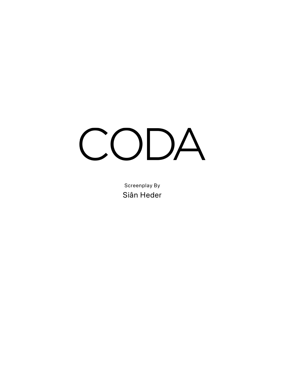# CODA

Screenplay By Siân Heder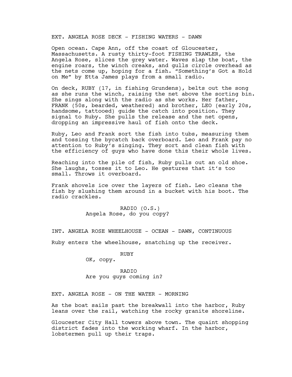EXT. ANGELA ROSE DECK - FISHING WATERS - DAWN

Open ocean. Cape Ann, off the coast of Gloucester, Massachusetts. A rusty thirty-foot FISHING TRAWLER, the Angela Rose, slices the grey water. Waves slap the boat, the engine roars, the winch creaks, and gulls circle overhead as the nets come up, hoping for a fish. "Something's Got a Hold on Me" by Etta James plays from a small radio.

On deck, RUBY (17, in fishing Grundens), belts out the song as she runs the winch, raising the net above the sorting bin. She sings along with the radio as she works. Her father, FRANK (50s, bearded, weathered) and brother, LEO (early 20s, handsome, tattooed) guide the catch into position. They signal to Ruby. She pulls the release and the net opens, dropping an impressive haul of fish onto the deck.

Ruby, Leo and Frank sort the fish into tubs, measuring them and tossing the bycatch back overboard. Leo and Frank pay no attention to Ruby's singing. They sort and clean fish with the efficiency of guys who have done this their whole lives.

Reaching into the pile of fish, Ruby pulls out an old shoe. She laughs, tosses it to Leo. He gestures that it's too small. Throws it overboard.

Frank shovels ice over the layers of fish. Leo cleans the fish by slushing them around in a bucket with his boot. The radio crackles.

> RADIO (O.S.) Angela Rose, do you copy?

INT. ANGELA ROSE WHEELHOUSE - OCEAN - DAWN, CONTINUOUS

Ruby enters the wheelhouse, snatching up the receiver.

RUBY

OK, copy.

RADIO Are you guys coming in?

EXT. ANGELA ROSE - ON THE WATER - MORNING

As the boat sails past the breakwall into the harbor, Ruby leans over the rail, watching the rocky granite shoreline.

Gloucester City Hall towers above town. The quaint shopping district fades into the working wharf. In the harbor, lobstermen pull up their traps.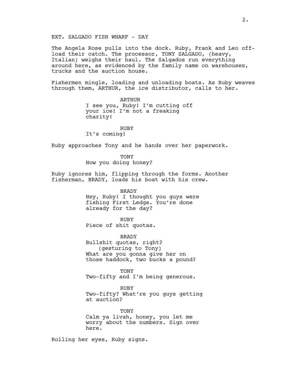The Angela Rose pulls into the dock. Ruby, Frank and Leo offload their catch. The processor, TONY SALGADO, (heavy, Italian) weighs their haul. The Salgados run everything around here, as evidenced by the family name on warehouses, trucks and the auction house.

Fishermen mingle, loading and unloading boats. As Ruby weaves through them, ARTHUR, the ice distributor, calls to her.

> ARTHUR I see you, Ruby! I'm cutting off your ice! I'm not a freaking charity!

> > RUBY

It's coming!

Ruby approaches Tony and he hands over her paperwork.

TONY How you doing honey?

Ruby ignores him, flipping through the forms. Another fisherman, BRADY, loads his boat with his crew.

> BRADY Hey, Ruby! I thought you guys were fishing First Ledge. You're done already for the day?

RUBY Piece of shit quotas.

BRADY

Bullshit quotas, right? (gesturing to Tony) What are you gonna give her on those haddock, two bucks a pound?

TONY Two-fifty and I'm being generous.

RUBY Two-fifty? What're you guys getting at auction?

**TONY** Calm ya livah, honey, you let me worry about the numbers. Sign over here.

Rolling her eyes, Ruby signs.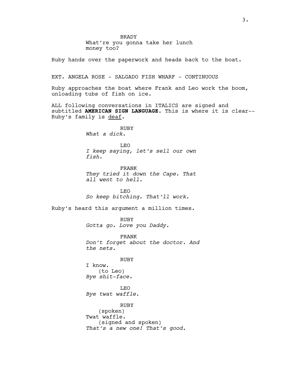BRADY What're you gonna take her lunch money too?

Ruby hands over the paperwork and heads back to the boat.

EXT. ANGELA ROSE - SALGADO FISH WHARF - CONTINUOUS

Ruby approaches the boat where Frank and Leo work the boom, unloading tubs of fish on ice.

ALL following conversations in ITALICS are signed and subtitled **AMERICAN SIGN LANGUAGE**. This is where it is clear-- Ruby's family is deaf.

> RUBY *What a dick.*

> > LEO

*I keep saying, let's sell our own fish.* 

FRANK *They tried it down the Cape. That all went to hell.* 

LEO *So keep bitching. That'll work.*

Ruby's heard this argument a million times.

RUBY *Gotta go. Love you Daddy.*

FRANK *Don't forget about the doctor. And the nets.* 

RUBY

I know. (to Leo) *Bye shit-face.*

LEO *Bye twat waffle.* 

RUBY (spoken) Twat waffle. (signed and spoken) *That's a new one! That's good.*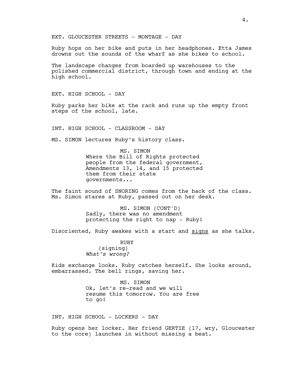EXT. GLOUCESTER STREETS - MONTAGE - DAY

Ruby hops on her bike and puts in her headphones. Etta James drowns out the sounds of the wharf as she bikes to school.

The landscape changes from boarded up warehouses to the polished commercial district, through town and ending at the high school.

EXT. HIGH SCHOOL - DAY

Ruby parks her bike at the rack and runs up the empty front steps of the school, late.

INT. HIGH SCHOOL - CLASSROOM - DAY

MS. SIMON lectures Ruby's history class.

MS. SIMON Where the Bill of Rights protected people from the federal government, Amendments 13, 14, and 15 protected them from their state governments...

The faint sound of SNORING comes from the back of the class. Ms. Simon stares at Ruby, passed out on her desk.

> MS. SIMON (CONT'D) Sadly, there was no amendment protecting the right to nap - Ruby!

Disoriented, Ruby awakes with a start and signs as she talks.

RUBY (signing) *What's wrong?*

Kids exchange looks. Ruby catches herself. She looks around, embarrassed. The bell rings, saving her.

> MS. SIMON Ok, let's re-read and we will resume this tomorrow. You are free to go!

INT. HIGH SCHOOL - LOCKERS - DAY

Ruby opens her locker. Her friend GERTIE (17, wry, Gloucester to the core) launches in without missing a beat.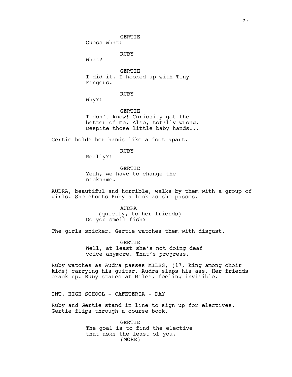**GERTIE** 

Guess what!

RUBY

What?

GERTIE I did it. I hooked up with Tiny Fingers.

RUBY

Why?!

**GERTIE** I don't know! Curiosity got the better of me. Also, totally wrong. Despite those little baby hands...

Gertie holds her hands like a foot apart.

RUBY

Really?!

GERTIE Yeah, we have to change the nickname.

AUDRA, beautiful and horrible, walks by them with a group of girls. She shoots Ruby a look as she passes.

> AUDRA (quietly, to her friends) Do you smell fish?

The girls snicker. Gertie watches them with disgust.

GERTIE Well, at least she's not doing deaf voice anymore. That's progress.

Ruby watches as Audra passes MILES, (17, king among choir kids) carrying his guitar. Audra slaps his ass. Her friends crack up. Ruby stares at Miles, feeling invisible.

INT. HIGH SCHOOL - CAFETERIA - DAY

Ruby and Gertie stand in line to sign up for electives. Gertie flips through a course book.

> (MORE) GERTIE The goal is to find the elective that asks the least of you.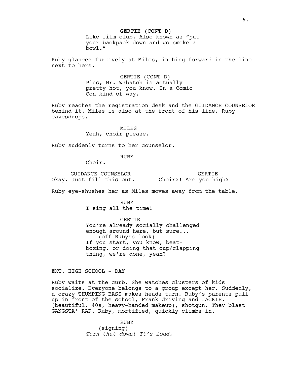#### GERTIE (CONT'D)

Like film club. Also known as "put your backpack down and go smoke a bowl."

Ruby glances furtively at Miles, inching forward in the line next to hers.

> GERTIE (CONT'D) Plus, Mr. Wabatch is actually pretty hot, you know. In a Comic Con kind of way.

Ruby reaches the registration desk and the GUIDANCE COUNSELOR behind it. Miles is also at the front of his line. Ruby eavesdrops.

> MILES Yeah, choir please.

Ruby suddenly turns to her counselor.

RUBY

Choir.

GUIDANCE COUNSELOR Okay. Just fill this out. **GERTIE** Choir?! Are you high?

Ruby eye-shushes her as Miles moves away from the table.

RUBY I sing all the time!

GERTIE You're already socially challenged enough around here, but sure... (off Ruby's look) If you start, you know, beatboxing, or doing that cup/clapping thing, we're done, yeah?

EXT. HIGH SCHOOL - DAY

Ruby waits at the curb. She watches clusters of kids socialize. Everyone belongs to a group except her. Suddenly, a crazy THUMPING BASS makes heads turn. Ruby's parents pull up in front of the school, Frank driving and JACKIE, (beautiful, 40s, heavy-handed makeup), shotgun. They blast GANGSTA' RAP. Ruby, mortified, quickly climbs in.

> RUBY (signing) *Turn that down! It's loud.*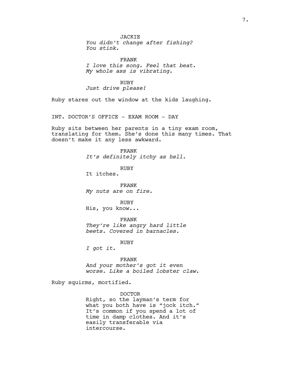**JACKIE** *You didn't change after fishing? You stink.* 

FRANK *I love this song. Feel that beat. My whole ass is vibrating.* 

RUBY *Just drive please!*

Ruby stares out the window at the kids laughing.

INT. DOCTOR'S OFFICE - EXAM ROOM - DAY

Ruby sits between her parents in a tiny exam room, translating for them. She's done this many times. That doesn't make it any less awkward.

> FRANK *It's definitely itchy as hell.*

> > RUBY

It itches.

FRANK *My nuts are on fire.* 

RUBY His, you know...

FRANK *They're like angry hard little beets. Covered in barnacles.*

RUBY

*I got it.*

FRANK *And your mother's got it even worse. Like a boiled lobster claw.*

Ruby squirms, mortified.

DOCTOR Right, so the layman's term for what you both have is "jock itch." It's common if you spend a lot of time in damp clothes. And it's easily transferable via intercourse.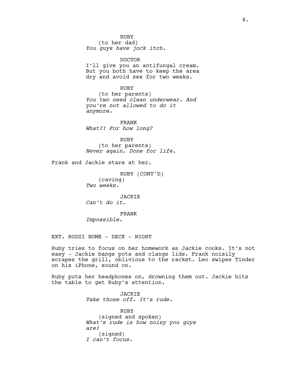RUBY

(to her dad) *You guys have jock itch.* 

DOCTOR

I'll give you an antifungal cream. But you both have to keep the area dry and avoid sex for two weeks.

RUBY

(to her parents) *You two need clean underwear. And you're not allowed to do it anymore.*

FRANK *What?! For how long?*

RUBY (to her parents) *Never again. Done for life.*

Frank and Jackie stare at her.

RUBY (CONT'D) (caving) *Two weeks.* 

JACKIE *Can't do it.*

FRANK *Impossible.*

EXT. ROSSI HOME - DECK - NIGHT

Ruby tries to focus on her homework as Jackie cooks. It's not easy - Jackie bangs pots and clangs lids. Frank noisily scrapes the grill, oblivious to the racket. Leo swipes Tinder on his iPhone, sound on.

Ruby puts her headphones on, drowning them out. Jackie hits the table to get Ruby's attention.

> JACKIE *Take those off. It's rude.* RUBY (signed and spoken) *What's rude is how noisy you guys are!* (signed) *I can't focus.*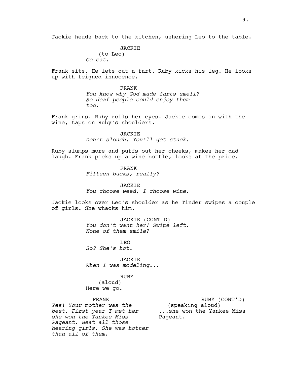Jackie heads back to the kitchen, ushering Leo to the table.

JACKIE (to Leo) *Go eat.*

Frank sits. He lets out a fart. Ruby kicks his leg. He looks up with feigned innocence.

> FRANK *You know why God made farts smell? So deaf people could enjoy them too.*

Frank grins. Ruby rolls her eyes. Jackie comes in with the wine, taps on Ruby's shoulders.

> JACKIE *Don't slouch. You'll get stuck.*

Ruby slumps more and puffs out her cheeks, makes her dad laugh. Frank picks up a wine bottle, looks at the price.

> FRANK *Fifteen bucks, really?*

JACKIE *You choose weed, I choose wine.* 

Jackie looks over Leo's shoulder as he Tinder swipes a couple of girls. She whacks him.

> JACKIE (CONT'D) *You don't want her! Swipe left. None of them smile?*

LEO *So? She's hot.*

JACKIE *When I was modeling...*

RUBY

(aloud) Here we go.

# FRANK

*Yes! Your mother was the best. First year I met her she won the Yankee Miss Pageant. Beat all those hearing girls. She was hotter than all of them.*

RUBY (CONT'D) (speaking aloud) ...she won the Yankee Miss Pageant.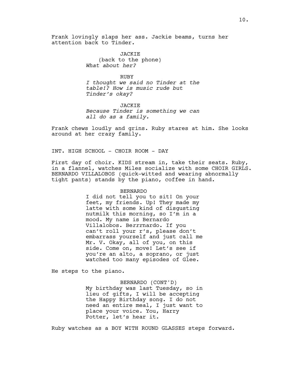Frank lovingly slaps her ass. Jackie beams, turns her attention back to Tinder.

> JACKIE (back to the phone) *What about her?*

RUBY *I thought we said no Tinder at the table!? How is music rude but Tinder's okay?*

JACKIE *Because Tinder is something we can all do as a family.*

Frank chews loudly and grins. Ruby stares at him. She looks around at her crazy family.

INT. HIGH SCHOOL - CHOIR ROOM - DAY

First day of choir. KIDS stream in, take their seats. Ruby, in a flannel, watches Miles socialize with some CHOIR GIRLS. BERNARDO VILLALOBOS (quick-witted and wearing abnormally tight pants) stands by the piano, coffee in hand.

## BERNARDO

I did not tell you to sit! On your feet, my friends. Up! They made my latte with some kind of disgusting nutmilk this morning, so I'm in a mood. My name is Bernardo Villalobos. Be*rrr*nardo. If you can't roll your r's, please don't embarrass yourself and just call me Mr. V. Okay, all of you, on this side. Come on, move! Let's see if you're an alto, a soprano, or just watched too many episodes of Glee.

He steps to the piano.

## BERNARDO (CONT'D)

My birthday was last Tuesday, so in lieu of gifts, I will be accepting the Happy Birthday song. I do not need an entire meal, I just want to place your voice. You, Harry Potter, let's hear it.

Ruby watches as a BOY WITH ROUND GLASSES steps forward.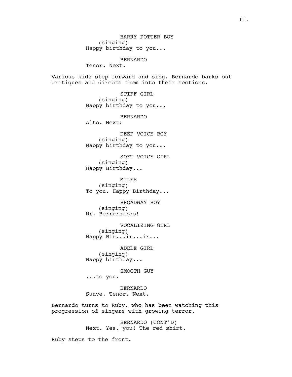HARRY POTTER BOY (singing) Happy birthday to you...

BERNARDO

Tenor. Next.

Various kids step forward and sing. Bernardo barks out critiques and directs them into their sections.

> STIFF GIRL (singing) Happy birthday to you...

> > BERNARDO

Alto. Next!

DEEP VOICE BOY (singing) Happy birthday to you...

SOFT VOICE GIRL (singing) Happy Birthday...

MILES (singing) To you. Happy Birthday...

BROADWAY BOY (singing) Mr. Berrrrnardo!

VOCALIZING GIRL (singing) Happy Bir...ir...ir...

ADELE GIRL (singing) Happy birthday...

SMOOTH GUY ...to you.

BERNARDO Suave. Tenor. Next.

Bernardo turns to Ruby, who has been watching this progression of singers with growing terror.

> BERNARDO (CONT'D) Next. Yes, you! The red shirt.

Ruby steps to the front.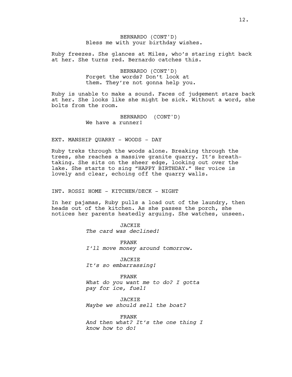# BERNARDO (CONT'D) Bless me with your birthday wishes.

Ruby freezes. She glances at Miles, who's staring right back at her. She turns red. Bernardo catches this.

> BERNARDO (CONT'D) Forget the words? Don't look at them. They're not gonna help you.

Ruby is unable to make a sound. Faces of judgement stare back at her. She looks like she might be sick. Without a word, she bolts from the room.

> BERNARDO (CONT'D) We have a runner!

EXT. MANSHIP QUARRY - WOODS - DAY

Ruby treks through the woods alone. Breaking through the trees, she reaches a massive granite quarry. It's breathtaking. She sits on the sheer edge, looking out over the lake. She starts to sing "HAPPY BIRTHDAY." Her voice is lovely and clear, echoing off the quarry walls.

INT. ROSSI HOME - KITCHEN/DECK - NIGHT

In her pajamas, Ruby pulls a load out of the laundry, then heads out of the kitchen. As she passes the porch, she notices her parents heatedly arguing. She watches, unseen.

> JACKIE *The card was declined!*

FRANK *I'll move money around tomorrow.*

JACKIE *It's so embarrassing!*

FRANK *What do you want me to do? I gotta pay for ice, fuel!* 

JACKIE *Maybe we should sell the boat?*

FRANK *And then what? It's the one thing I know how to do!*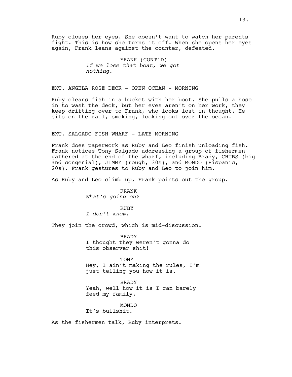Ruby closes her eyes. She doesn't want to watch her parents fight. This is how she turns it off. When she opens her eyes again, Frank leans against the counter, defeated.

> FRANK (CONT'D) *If we lose that boat, we got nothing.*

EXT. ANGELA ROSE DECK - OPEN OCEAN - MORNING

Ruby cleans fish in a bucket with her boot. She pulls a hose in to wash the deck, but her eyes aren't on her work, they keep drifting over to Frank, who looks lost in thought. He sits on the rail, smoking, looking out over the ocean.

EXT. SALGADO FISH WHARF - LATE MORNING

Frank does paperwork as Ruby and Leo finish unloading fish. Frank notices Tony Salgado addressing a group of fishermen gathered at the end of the wharf, including Brady, CHUBS (big and congenial), JIMMY (rough, 30s), and MONDO (Hispanic, 20s). Frank gestures to Ruby and Leo to join him.

As Ruby and Leo climb up, Frank points out the group.

FRANK *What's going on?*

RUBY

*I don't know.*

They join the crowd, which is mid-discussion.

**BRADY** I thought they weren't gonna do this observer shit!

TONY Hey, I ain't making the rules, I'm just telling you how it is.

BRADY Yeah, well how it is I can barely feed my family.

MONDO It's bullshit.

As the fishermen talk, Ruby interprets.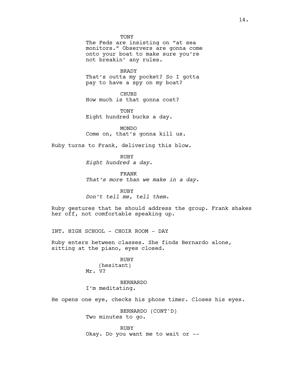**TONY** The Feds are insisting on "at sea monitors." Observers are gonna come onto your boat to make sure you're not breakin' any rules.

BRADY That's outta my pocket? So I gotta pay to have a spy on my boat?

CHUBS How much is that gonna cost?

**TONY** Eight hundred bucks a day.

MONDO Come on, that's gonna kill us.

Ruby turns to Frank, delivering this blow.

RUBY *Eight hundred a day.*

FRANK *That's more than we make in a day.* 

RUBY *Don't tell me, tell them.* 

Ruby gestures that he should address the group. Frank shakes her off, not comfortable speaking up.

INT. HIGH SCHOOL - CHOIR ROOM - DAY

Ruby enters between classes. She finds Bernardo alone, sitting at the piano, eyes closed.

> RUBY (hesitant) Mr. V?

BERNARDO I'm meditating.

He opens one eye, checks his phone timer. Closes his eyes.

BERNARDO (CONT'D) Two minutes to go.

RUBY Okay. Do you want me to wait or --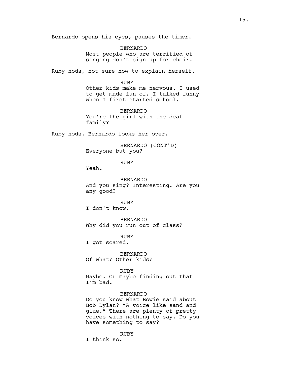Bernardo opens his eyes, pauses the timer.

BERNARDO Most people who are terrified of singing don't sign up for choir.

Ruby nods, not sure how to explain herself.

RUBY Other kids make me nervous. I used to get made fun of. I talked funny when I first started school.

BERNARDO You're the girl with the deaf family?

Ruby nods. Bernardo looks her over.

BERNARDO (CONT'D) Everyone but you?

RUBY

Yeah.

BERNARDO And you sing? Interesting. Are you any good?

RUBY

I don't know.

BERNARDO Why did you run out of class?

RUBY

I got scared.

BERNARDO Of what? Other kids?

RUBY

Maybe. Or maybe finding out that I'm bad.

# BERNARDO

Do you know what Bowie said about Bob Dylan? "A voice like sand and glue." There are plenty of pretty voices with nothing to say. Do you have something to say?

RUBY

I think so.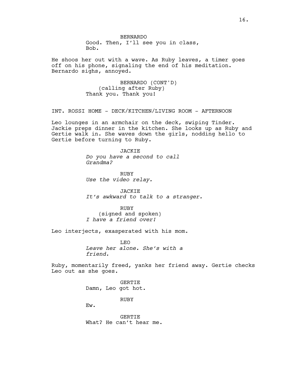He shoos her out with a wave. As Ruby leaves, a timer goes off on his phone, signaling the end of his meditation. Bernardo sighs, annoyed.

> BERNARDO (CONT'D) (calling after Ruby) Thank you. Thank you!

INT. ROSSI HOME - DECK/KITCHEN/LIVING ROOM - AFTERNOON

Leo lounges in an armchair on the deck, swiping Tinder. Jackie preps dinner in the kitchen. She looks up as Ruby and Gertie walk in. She waves down the girls, nodding hello to Gertie before turning to Ruby.

> **JACKIE** *Do you have a second to call Grandma?*

RUBY *Use the video relay.* 

JACKIE *It's awkward to talk to a stranger.*

RUBY (signed and spoken) *I have a friend over!*

Leo interjects, exasperated with his mom.

LEO *Leave her alone. She's with a friend.*

Ruby, momentarily freed, yanks her friend away. Gertie checks Leo out as she goes.

> GERTIE Damn, Leo got hot.

> > RUBY

Ew.

GERTIE What? He can't hear me.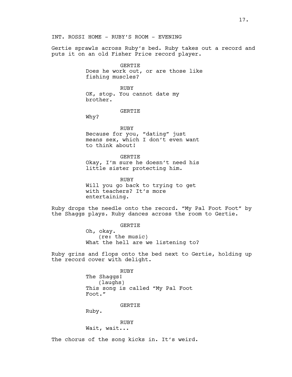INT. ROSSI HOME - RUBY'S ROOM - EVENING

Gertie sprawls across Ruby's bed. Ruby takes out a record and puts it on an old Fisher Price record player.

> GERTIE Does he work out, or are those like fishing muscles?

RUBY OK, stop. You cannot date my brother.

# **GERTIE**

Why?

RUBY Because for you, "dating" just means sex, which I don't even want to think about!

GERTIE Okay, I'm sure he doesn't need his little sister protecting him.

RUBY Will you go back to trying to get with teachers? It's more entertaining.

Ruby drops the needle onto the record. "My Pal Foot Foot" by the Shaggs plays. Ruby dances across the room to Gertie.

> GERTIE Oh, okay. (re: the music) What the hell are we listening to?

Ruby grins and flops onto the bed next to Gertie, holding up the record cover with delight.

> RUBY The Shaggs! (laughs) This song is called "My Pal Foot Foot."

> > GERTIE

Ruby.

RUBY Wait, wait...

The chorus of the song kicks in. It's weird.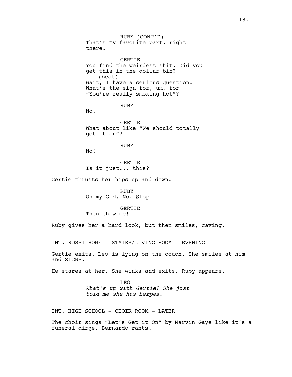RUBY (CONT'D) That's my favorite part, right there! GERTIE You find the weirdest shit. Did you get this in the dollar bin? (beat) Wait, I have a serious question. What's the sign for, um, for "You're really smoking hot"? RUBY No. GERTIE What about like "We should totally get it on"? RUBY No! **GERTIE** Is it just... this? Gertie thrusts her hips up and down. RUBY Oh my God. No. Stop! GERTIE Then show me! Ruby gives her a hard look, but then smiles, caving. INT. ROSSI HOME - STAIRS/LIVING ROOM - EVENING Gertie exits. Leo is lying on the couch. She smiles at him and SIGNS. He stares at her. She winks and exits. Ruby appears.

LEO *What's up with Gertie? She just told me she has herpes.* 

INT. HIGH SCHOOL - CHOIR ROOM - LATER

The choir sings "Let's Get it On" by Marvin Gaye like it's a funeral dirge. Bernardo rants.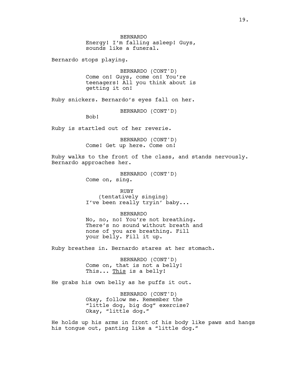BERNARDO Energy! I'm falling asleep! Guys, sounds like a funeral.

Bernardo stops playing.

BERNARDO (CONT'D) Come on! Guys, come on! You're teenagers! All you think about is getting it on!

Ruby snickers. Bernardo's eyes fall on her.

BERNARDO (CONT'D)

Bob!

Ruby is startled out of her reverie.

BERNARDO (CONT'D) Come! Get up here. Come on!

Ruby walks to the front of the class, and stands nervously. Bernardo approaches her.

> BERNARDO (CONT'D) Come on, sing.

> > RUBY

(tentatively singing) I've been really tryin' baby...

BERNARDO No, no, no! You're not breathing. There's no sound without breath and none of you are breathing. Fill your belly. Fill it up.

Ruby breathes in. Bernardo stares at her stomach.

BERNARDO (CONT'D) Come on, that is not a belly! This... This is a belly!

He grabs his own belly as he puffs it out.

BERNARDO (CONT'D) Okay, follow me. Remember the "little dog, big dog" exercise? Okay, "little dog."

He holds up his arms in front of his body like paws and hangs his tongue out, panting like a "little dog."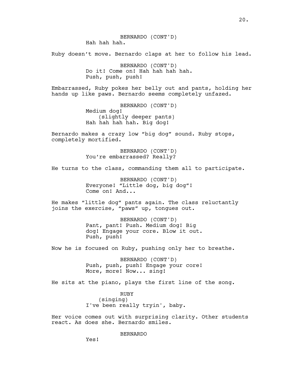Ruby doesn't move. Bernardo claps at her to follow his lead.

BERNARDO (CONT'D) Do it! Come on! Hah hah hah hah. Push, push, push!

Embarrassed, Ruby pokes her belly out and pants, holding her hands up like paws. Bernardo seems completely unfazed.

> BERNARDO (CONT'D) Medium dog! (slightly deeper pants) Hah hah hah hah. Big dog!

Bernardo makes a crazy low "big dog" sound. Ruby stops, completely mortified.

> BERNARDO (CONT'D) You're embarrassed? Really?

He turns to the class, commanding them all to participate.

BERNARDO (CONT'D) Everyone! "Little dog, big dog"! Come on! And...

He makes "little dog" pants again. The class reluctantly joins the exercise, "paws" up, tongues out.

> BERNARDO (CONT'D) Pant, pant! Push. Medium dog! Big dog! Engage your core. Blow it out. Push, push!

Now he is focused on Ruby, pushing only her to breathe.

BERNARDO (CONT'D) Push, push, push! Engage your core! More, more! Now... sing!

He sits at the piano, plays the first line of the song.

RUBY (singing) I've been really tryin', baby.

Her voice comes out with surprising clarity. Other students react. As does she. Bernardo smiles.

BERNARDO

Yes!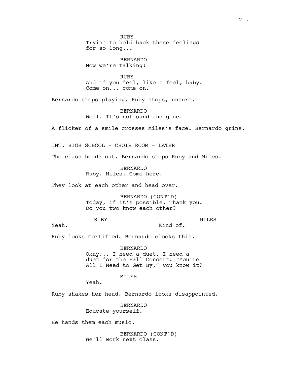RUBY Tryin' to hold back these feelings for so long... BERNARDO Now we're talking! RUBY And if you feel, like I feel, baby. Come on... come on. Bernardo stops playing. Ruby stops, unsure. BERNARDO Well. It's not sand and glue. A flicker of a smile crosses Miles's face. Bernardo grins. INT. HIGH SCHOOL - CHOIR ROOM - LATER The class heads out. Bernardo stops Ruby and Miles. BERNARDO Ruby. Miles. Come here. They look at each other and head over. BERNARDO (CONT'D) Today, if it's possible. Thank you. Do you two know each other? RUBY Yeah. MILES Kind of. Ruby looks mortified. Bernardo clocks this. BERNARDO Okay... I need a duet. I need a duet for the Fall Concert. "You're All I Need to Get By," you know it? **MTT.ES** Yeah. Ruby shakes her head. Bernardo looks disappointed. BERNARDO Educate yourself. He hands them each music.

> BERNARDO (CONT'D) We'll work next class.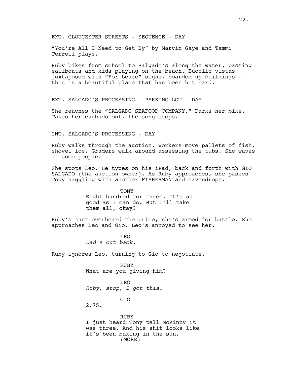EXT. GLOUCESTER STREETS - SEQUENCE - DAY

"You're All I Need to Get By" by Marvin Gaye and Tammi Terrell plays.

Ruby bikes from school to Salgado's along the water, passing sailboats and kids playing on the beach. Bucolic vistas juxtaposed with "For Lease" signs, boarded up buildings this is a beautiful place that has been hit hard.

EXT. SALGADO'S PROCESSING - PARKING LOT - DAY

She reaches the "SALGADO SEAFOOD COMPANY." Parks her bike. Takes her earbuds out, the song stops.

INT. SALGADO'S PROCESSING - DAY

Ruby walks through the auction. Workers move pallets of fish, shovel ice. Graders walk around assessing the tubs. She waves at some people.

She spots Leo. He types on his iPad, back and forth with GIO SALGADO (the auction owner). As Ruby approaches, she passes Tony haggling with another FISHERMAN and eavesdrops.

> TONY Eight hundred for three. It's as good as I can do. But I'll take them all, okay?

Ruby's just overheard the price, she's armed for battle. She approaches Leo and Gio. Leo's annoyed to see her.

> LEO *Dad's out back.*

Ruby ignores Leo, turning to Gio to negotiate.

RUBY What are you giving him?

LEO *Ruby, stop, I got this.*

GIO

2.75.

(MORE) RUBY I just heard Tony tell McKinny it was three. And his shit looks like it's been baking in the sun.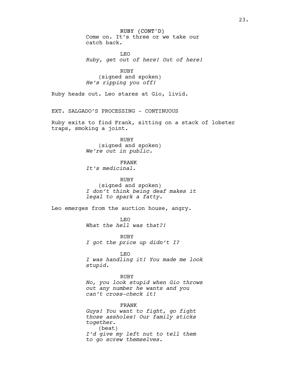RUBY (CONT'D) Come on. It's three or we take our catch back.

LEO *Ruby, get out of here! Out of here!* 

RUBY (signed and spoken) *He's ripping you off!*

Ruby heads out. Leo stares at Gio, livid.

EXT. SALGADO'S PROCESSING - CONTINUOUS

Ruby exits to find Frank, sitting on a stack of lobster traps, smoking a joint.

> RUBY (signed and spoken) *We're out in public.*

FRANK *It's medicinal.* 

RUBY (signed and spoken) *I don't think being deaf makes it legal to spark a fatty.* 

Leo emerges from the auction house, angry.

LEO *What the hell was that?!* 

RUBY *I got the price up didn't I?* 

LEO *I was handling it! You made me look stupid.*

RUBY *No, you look stupid when Gio throws out any number he wants and you can't cross-check it!*

FRANK *Guys! You want to fight, go fight those assholes! Our family sticks together.*  (beat) *I'd give my left nut to tell them to go screw themselves.*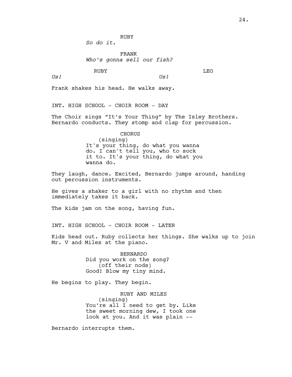RUBY *So do it.* FRANK *Who's gonna sell our fish?*  RUBY *Us!* LEO *Us!* Frank shakes his head. He walks away. INT. HIGH SCHOOL - CHOIR ROOM - DAY The Choir sings "It's Your Thing" by The Isley Brothers. Bernardo conducts. They stomp and clap for percussion. CHORUS (singing) It's your thing, do what you wanna do. I can't tell you, who to sock it to. It's your thing, do what you wanna do. They laugh, dance. Excited, Bernardo jumps around, handing out percussion instruments. He gives a shaker to a girl with no rhythm and then immediately takes it back. The kids jam on the song, having fun. INT. HIGH SCHOOL - CHOIR ROOM - LATER Kids head out. Ruby collects her things. She walks up to join Mr. V and Miles at the piano. BERNARDO Did you work on the song? (off their nods) Good! Blow my tiny mind. He begins to play. They begin. RUBY AND MILES (singing) You're all I need to get by. Like the sweet morning dew, I took one look at you. And it was plain -- Bernardo interrupts them.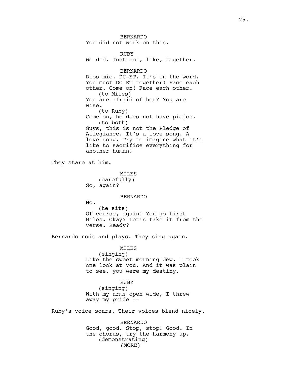(MORE) BERNARDO You did not work on this. RUBY We did. Just not, like, together. BERNARDO Dios mio. DU-ET. It's in the word. You must DO-ET together! Face each other. Come on! Face each other. (to Miles) You are afraid of her? You are wise. (to Ruby) Come on, he does not have piojos. (to both) Guys, this is not the Pledge of Allegiance. It's a love song. A love song. Try to imagine what it's like to sacrifice everything for another human! They stare at him. **MTT.ES** (carefully) So, again? BERNARDO No. (he sits) Of course, again! You go first Miles. Okay? Let's take it from the verse. Ready? Bernardo nods and plays. They sing again. MILES (singing) Like the sweet morning dew, I took one look at you. And it was plain to see, you were my destiny. RUBY (singing) With my arms open wide, I threw away my pride -- Ruby's voice soars. Their voices blend nicely. BERNARDO Good, good. Stop, stop! Good. In the chorus, try the harmony up. (demonstrating)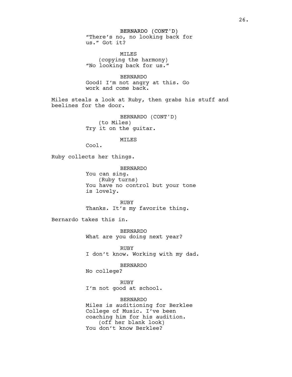## BERNARDO (CONT'D)

"There's no, no looking back for us." Got it?

MILES (copying the harmony) "No looking back for us."

BERNARDO Good! I'm not angry at this. Go work and come back.

Miles steals a look at Ruby, then grabs his stuff and beelines for the door.

> BERNARDO (CONT'D) (to Miles) Try it on the guitar.

> > MILES

Cool.

Ruby collects her things.

BERNARDO You can sing. (Ruby turns) You have no control but your tone is lovely.

RUBY Thanks. It's my favorite thing.

Bernardo takes this in.

BERNARDO What are you doing next year?

RUBY I don't know. Working with my dad.

BERNARDO No college?

RUBY I'm not good at school.

BERNARDO Miles is auditioning for Berklee College of Music. I've been coaching him for his audition. (off her blank look) You don't know Berklee?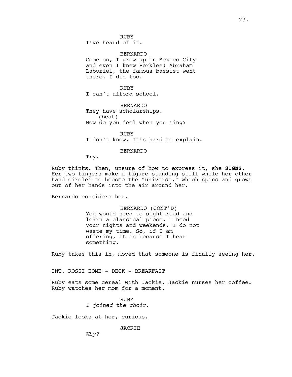27.

RUBY I've heard of it.

BERNARDO Come on, I grew up in Mexico City and even I knew Berklee! Abraham Laboriel, the famous bassist went there. I did too.

RUBY I can't afford school.

BERNARDO They have scholarships. (beat) How do you feel when you sing?

RUBY I don't know. It's hard to explain.

# BERNARDO

Try.

Ruby thinks. Then, unsure of how to express it, she **SIGNS**. Her two fingers make a figure standing still while her other hand circles to become the "universe," which spins and grows out of her hands into the air around her.

Bernardo considers her.

BERNARDO (CONT'D) You would need to sight-read and learn a classical piece. I need your nights and weekends. I do not waste my time. So, if I am offering, it is because I hear something.

Ruby takes this in, moved that someone is finally seeing her.

INT. ROSSI HOME - DECK - BREAKFAST

Ruby eats some cereal with Jackie. Jackie nurses her coffee. Ruby watches her mom for a moment.

> RUBY *I joined the choir.*

Jackie looks at her, curious.

**JACKIE** 

*Why?*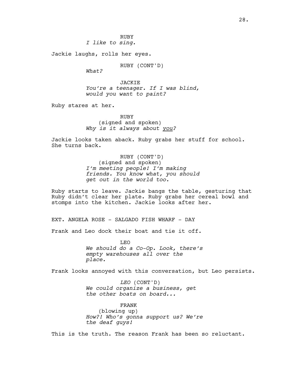Jackie laughs, rolls her eyes.

RUBY (CONT'D)

*What?*

JACKIE *You're a teenager. If I was blind, would you want to paint?*

Ruby stares at her.

RUBY (signed and spoken) *Why is it always about you?*

Jackie looks taken aback. Ruby grabs her stuff for school. She turns back.

> RUBY (CONT'D) (signed and spoken) *I'm meeting people! I'm making friends. You know what, you should get out in the world too.*

Ruby starts to leave. Jackie bangs the table, gesturing that Ruby didn't clear her plate. Ruby grabs her cereal bowl and stomps into the kitchen. Jackie looks after her.

EXT. ANGELA ROSE - SALGADO FISH WHARF - DAY

Frank and Leo dock their boat and tie it off.

LEO *We should do a Co-Op. Look, there's empty warehouses all over the place.* 

Frank looks annoyed with this conversation, but Leo persists.

*LEO* (CONT'D) *We could organize a business, get the other boats on board...*

FRANK (blowing up) *How?! Who's gonna support us? We're the deaf guys!*

This is the truth. The reason Frank has been so reluctant.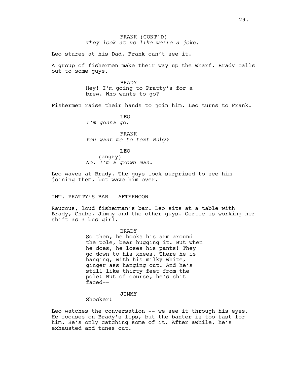# FRANK (CONT'D) *They look at us like we're a joke.*

Leo stares at his Dad. Frank can't see it.

A group of fishermen make their way up the wharf. Brady calls out to some guys.

# BRADY Hey! I'm going to Pratty's for a brew. Who wants to go?

Fishermen raise their hands to join him. Leo turns to Frank.

LEO *I'm gonna go.* 

FRANK *You want me to text Ruby?*

LEO

(angry) *No. I'm a grown man.* 

Leo waves at Brady. The guys look surprised to see him joining them, but wave him over.

INT. PRATTY'S BAR - AFTERNOON

Raucous, loud fisherman's bar. Leo sits at a table with Brady, Chubs, Jimmy and the other guys. Gertie is working her shift as a bus-girl.

> BRADY So then, he hooks his arm around the pole, bear hugging it. But when he does, he loses his pants! They go down to his knees. There he is hanging, with his milky white, ginger ass hanging out. And he's still like thirty feet from the pole! But of course, he's shitfaced--

> > JIMMY

Shocker!

Leo watches the conversation -- we see it through his eyes. He focuses on Brady's lips, but the banter is too fast for him. He's only catching some of it. After awhile, he's exhausted and tunes out.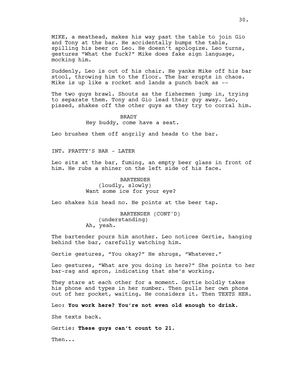MIKE, a meathead, makes his way past the table to join Gio and Tony at the bar. He accidentally bumps the table, spilling his beer on Leo. He doesn't apologize. Leo turns, gestures "What the fuck?" Mike does fake sign language, mocking him.

Suddenly, Leo is out of his chair. He yanks Mike off his bar stool, throwing him to the floor. The bar erupts in chaos. Mike is up like a rocket and lands a punch back as --

The two guys brawl. Shouts as the fishermen jump in, trying to separate them. Tony and Gio lead their guy away. Leo, pissed, shakes off the other guys as they try to corral him.

### BRADY

Hey buddy, come have a seat.

Leo brushes them off angrily and heads to the bar.

INT. PRATTY'S BAR - LATER

Leo sits at the bar, fuming, an empty beer glass in front of him. He rubs a shiner on the left side of his face.

> BARTENDER (loudly, slowly) Want some ice for your eye?

Leo shakes his head no. He points at the beer tap.

BARTENDER (CONT'D) (understanding) Ah, yeah.

The bartender pours him another. Leo notices Gertie, hanging behind the bar, carefully watching him.

Gertie gestures, "You okay?" He shrugs, "Whatever."

Leo gestures, "What are you doing in here?" She points to her bar-rag and apron, indicating that she's working.

They stare at each other for a moment. Gertie boldly takes his phone and types in her number. Then pulls her own phone out of her pocket, waiting. He considers it. Then TEXTS HER.

Leo: **You work here? You're not even old enough to drink.** 

She texts back.

Gertie: **These guys can't count to 21.** 

Then...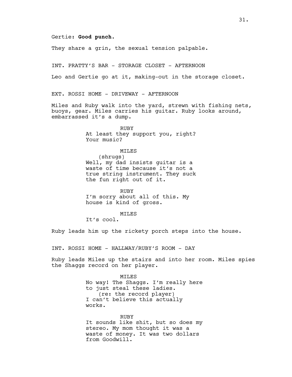## Gertie: **Good punch.**

They share a grin, the sexual tension palpable.

INT. PRATTY'S BAR - STORAGE CLOSET - AFTERNOON

Leo and Gertie go at it, making-out in the storage closet.

EXT. ROSSI HOME - DRIVEWAY - AFTERNOON

Miles and Ruby walk into the yard, strewn with fishing nets, buoys, gear. Miles carries his guitar. Ruby looks around, embarrassed it's a dump.

> RUBY At least they support you, right? Your music?

### MILES

(shrugs) Well, my dad insists guitar is a waste of time because it's not a true string instrument. They suck the fun right out of it.

RUBY I'm sorry about all of this. My house is kind of gross.

**MTT.ES** 

It's cool.

Ruby leads him up the rickety porch steps into the house.

INT. ROSSI HOME - HALLWAY/RUBY'S ROOM - DAY

Ruby leads Miles up the stairs and into her room. Miles spies the Shaggs record on her player.

> MILES No way! The Shaggs. I'm really here to just steal these ladies. (re: the record player) I can't believe this actually works.

> RUBY It sounds like shit, but so does my stereo. My mom thought it was a waste of money. It was two dollars from Goodwill.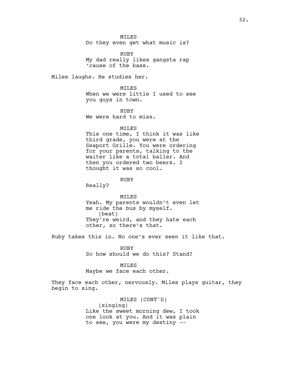**MTT.ES** Do they even get what music is?

RUBY My dad really likes gangsta rap 'cause of the bass.

Miles laughs. He studies her.

**MTT.ES** When we were little I used to see you guys in town.

RUBY We were hard to miss.

## MILES

This one time, I think it was like third grade, you were at the Seaport Grille. You were ordering for your parents, talking to the waiter like a total baller. And then you ordered two beers. I thought it was so cool.

RUBY

Really?

MILES Yeah. My parents wouldn't even let me ride the bus by myself. (beat) They're weird, and they hate each other, so there's that.

Ruby takes this in. No one's ever seen it like that.

RUBY So how should we do this? Stand?

## MILES

Maybe we face each other.

They face each other, nervously. Miles plays guitar, they begin to sing.

> MILES (CONT'D) (singing) Like the sweet morning dew, I took one look at you. And it was plain to see, you were my destiny --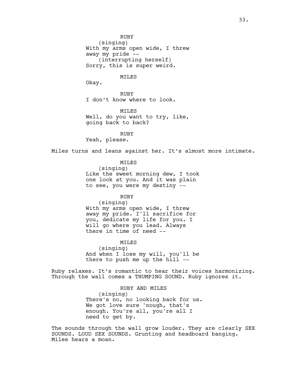RUBY (singing) With my arms open wide, I threw away my pride -- (interrupting herself) Sorry, this is super weird.

## MILES

Okay.

RUBY I don't know where to look.

MILES Well, do you want to try, like, going back to back?

RUBY Yeah, please.

Miles turns and leans against her. It's almost more intimate.

MILES (singing)

Like the sweet morning dew, I took one look at you. And it was plain to see, you were my destiny --

RUBY

(singing) With my arms open wide, I threw away my pride. I'll sacrifice for you, dedicate my life for you. I will go where you lead. Always there in time of need --

MILES

(singing) And when I lose my will, you'll be there to push me up the hill --

Ruby relaxes. It's romantic to hear their voices harmonizing. Through the wall comes a THUMPING SOUND. Ruby ignores it.

> RUBY AND MILES (singing) There's no, no looking back for us. We got love sure 'nough, that's enough. You're all, you're all I need to get by.

The sounds through the wall grow louder. They are clearly SEX SOUNDS. LOUD SEX SOUNDS. Grunting and headboard banging. Miles hears a moan.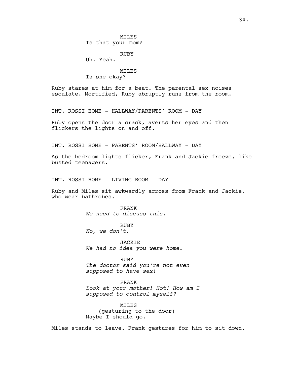**MTT.ES** Is that your mom?

RUBY

Uh. Yeah.

# MILES Is she okay?

Ruby stares at him for a beat. The parental sex noises escalate. Mortified, Ruby abruptly runs from the room.

INT. ROSSI HOME - HALLWAY/PARENTS' ROOM - DAY

Ruby opens the door a crack, averts her eyes and then flickers the lights on and off.

INT. ROSSI HOME - PARENTS' ROOM/HALLWAY - DAY

As the bedroom lights flicker, Frank and Jackie freeze, like busted teenagers.

INT. ROSSI HOME - LIVING ROOM - DAY

Ruby and Miles sit awkwardly across from Frank and Jackie, who wear bathrobes.

> FRANK *We need to discuss this.*

RUBY *No, we don't.* 

JACKIE *We had no idea you were home.* 

RUBY *The doctor said you're not even supposed to have sex!* 

FRANK

*Look at your mother! Hot! How am I supposed to control myself?*

MILES (gesturing to the door) Maybe I should go.

Miles stands to leave. Frank gestures for him to sit down.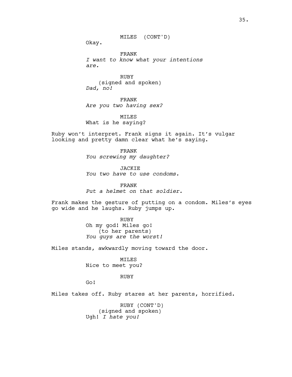Okay.

FRANK *I want to know what your intentions are.*

RUBY (signed and spoken) *Dad, no!*

FRANK *Are you two having sex?*

MILES What is he saying?

Ruby won't interpret. Frank signs it again. It's vulgar looking and pretty damn clear what he's saying.

> FRANK *You screwing my daughter?*

JACKIE *You two have to use condoms.* 

FRANK *Put a helmet on that soldier.* 

Frank makes the gesture of putting on a condom. Miles's eyes go wide and he laughs. Ruby jumps up.

> RUBY Oh my god! Miles go! (to her parents) *You guys are the worst!*

Miles stands, awkwardly moving toward the door.

MILES Nice to meet you?

RUBY

Go!

Miles takes off. Ruby stares at her parents, horrified.

RUBY (CONT'D) (signed and spoken) Ugh! *I hate you!*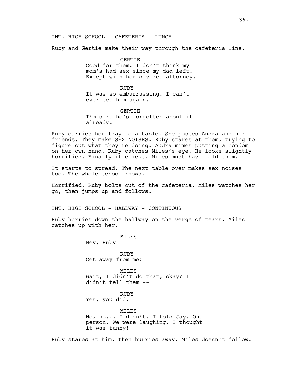INT. HIGH SCHOOL - CAFETERIA - LUNCH

Ruby and Gertie make their way through the cafeteria line.

GERTIE Good for them. I don't think my mom's had sex since my dad left. Except with her divorce attorney.

RUBY It was so embarrassing. I can't ever see him again.

**GERTIE** I'm sure he's forgotten about it already.

Ruby carries her tray to a table. She passes Audra and her friends. They make SEX NOISES. Ruby stares at them, trying to figure out what they're doing. Audra mimes putting a condom on her own hand. Ruby catches Miles's eye. He looks slightly horrified. Finally it clicks. Miles must have told them.

It starts to spread. The next table over makes sex noises too. The whole school knows.

Horrified, Ruby bolts out of the cafeteria. Miles watches her go, then jumps up and follows.

INT. HIGH SCHOOL - HALLWAY - CONTINUOUS

Ruby hurries down the hallway on the verge of tears. Miles catches up with her.

MILES Hey, Ruby  $--$ RUBY Get away from me! MILES Wait, I didn't do that, okay? I didn't tell them -- RUBY Yes, you did. MILES No, no... I didn't. I told Jay. One person. We were laughing. I thought it was funny!

Ruby stares at him, then hurries away. Miles doesn't follow.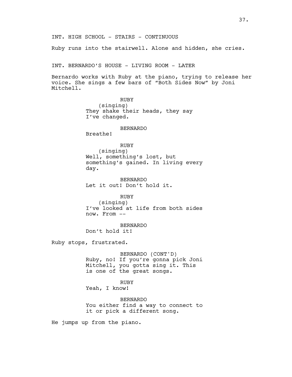INT. HIGH SCHOOL - STAIRS - CONTINUOUS Ruby runs into the stairwell. Alone and hidden, she cries. INT. BERNARDO'S HOUSE - LIVING ROOM - LATER Bernardo works with Ruby at the piano, trying to release her voice. She sings a few bars of "Both Sides Now" by Joni Mitchell. RUBY (singing) They shake their heads, they say I've changed. BERNARDO Breathe! RUBY (singing) Well, something's lost, but something's gained. In living every day. BERNARDO Let it out! Don't hold it. RUBY (singing) I've looked at life from both sides now. From -- BERNARDO Don't hold it! Ruby stops, frustrated. BERNARDO (CONT'D) Ruby, no! If you're gonna pick Joni Mitchell, you gotta sing it. This is one of the great songs. RUBY Yeah, I know! BERNARDO You either find a way to connect to it or pick a different song. He jumps up from the piano.

37.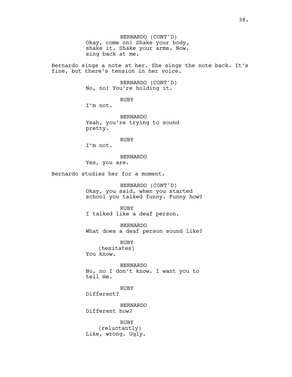BERNARDO (CONT'D) Okay, come on! Shake your body, shake it. Shake your arms. Now, sing back at me.

Bernardo sings a note at her. She sings the note back. It's fine, but there's tension in her voice.

> BERNARDO (CONT'D) No, no! You're holding it.

> > RUBY

I'm not.

BERNARDO Yeah, you're trying to sound pretty.

RUBY

I'm not.

BERNARDO

Yes, you are.

Bernardo studies her for a moment.

BERNARDO (CONT'D) Okay, you said, when you started school you talked funny. Funny how?

RUBY I talked like a deaf person.

BERNARDO What does a deaf person sound like?

RUBY (hesitates) You know.

BERNARDO No, no I don't know. I want you to tell me.

RUBY

Different?

BERNARDO Different how?

RUBY (reluctantly) Like, wrong. Ugly.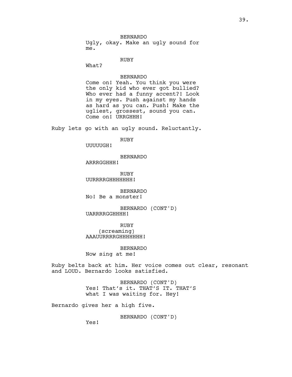BERNARDO Ugly, okay. Make an ugly sound for me.

RUBY

What?

## BERNARDO

Come on! Yeah. You think you were the only kid who ever got bullied? Who ever had a funny accent?! Look in my eyes. Push against my hands as hard as you can. Push! Make the ugliest, grossest, sound you can. Come on! URRGHHH!

Ruby lets go with an ugly sound. Reluctantly.

## RUBY

UUUUUGH!

BERNARDO

ARRRGGHHH!

RUBY UURRRRGHHHHHHH!

BERNARDO No! Be a monster!

BERNARDO (CONT'D) UARRRRGGHHHH!

RUBY (screaming) AAAUURRRRGHHHHHHH!

BERNARDO Now sing at me!

Ruby belts back at him. Her voice comes out clear, resonant and LOUD. Bernardo looks satisfied.

> BERNARDO (CONT'D) Yes! That's it. THAT'S IT. THAT'S what I was waiting for. Hey!

Bernardo gives her a high five.

BERNARDO (CONT'D)

Yes!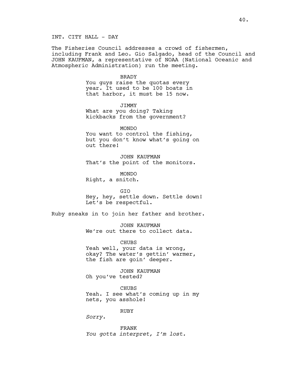The Fisheries Council addresses a crowd of fishermen, including Frank and Leo. Gio Salgado, head of the Council and JOHN KAUFMAN, a representative of NOAA (National Oceanic and Atmospheric Administration) run the meeting.

#### BRADY

You guys raise the quotas every year. It used to be 100 boats in that harbor, it must be 15 now.

JIMMY What are you doing? Taking kickbacks from the government?

MONDO You want to control the fishing, but you don't know what's going on out there!

JOHN KAUFMAN That's the point of the monitors.

MONDO Right, a snitch.

GIO Hey, hey, settle down. Settle down! Let's be respectful.

Ruby sneaks in to join her father and brother.

JOHN KAUFMAN We're out there to collect data.

CHUBS Yeah well, your data is wrong, okay? The water's gettin' warmer, the fish are goin' deeper.

JOHN KAUFMAN Oh you've tested?

CHUBS Yeah. I see what's coming up in my nets, you asshole!

RUBY

*Sorry.* 

FRANK *You gotta interpret, I'm lost.*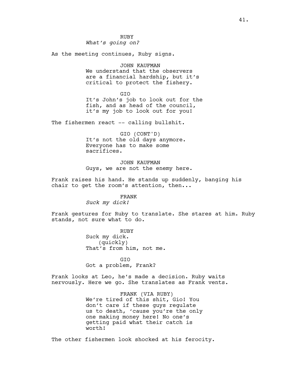As the meeting continues, Ruby signs.

# JOHN KAUFMAN

We understand that the observers are a financial hardship, but it's critical to protect the fishery.

#### GIO

It's John's job to look out for the fish, and as head of the council, it's my job to look out for you!

The fishermen react -- calling bullshit.

GIO (CONT'D) It's not the old days anymore. Everyone has to make some sacrifices.

JOHN KAUFMAN Guys, we are not the enemy here.

Frank raises his hand. He stands up suddenly, banging his chair to get the room's attention, then...

## FRANK *Suck my dick!*

Frank gestures for Ruby to translate. She stares at him. Ruby stands, not sure what to do.

> RUBY Suck my dick. (quickly) That's from him, not me.

GIO Got a problem, Frank?

Frank looks at Leo, he's made a decision. Ruby waits nervously. Here we go. She translates as Frank vents.

> FRANK (VIA RUBY) We're tired of this shit, Gio! You don't care if these guys regulate us to death, 'cause you're the only one making money here! No one's getting paid what their catch is worth!

The other fishermen look shocked at his ferocity.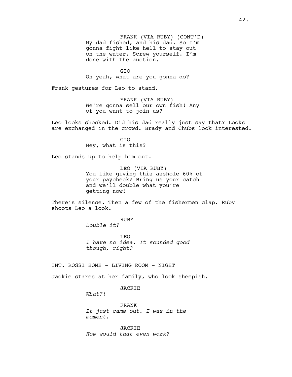FRANK (VIA RUBY) (CONT'D) My dad fished, and his dad. So I'm gonna fight like hell to stay out on the water. Screw yourself. I'm done with the auction.

GIO Oh yeah, what are you gonna do?

Frank gestures for Leo to stand.

FRANK (VIA RUBY) We're gonna sell our own fish! Any of you want to join us?

Leo looks shocked. Did his dad really just say that? Looks are exchanged in the crowd. Brady and Chubs look interested.

> GIO Hey, what is this?

Leo stands up to help him out.

LEO (VIA RUBY) You like giving this asshole 60% of your paycheck? Bring us your catch and we'll double what you're getting now!

There's silence. Then a few of the fishermen clap. Ruby shoots Leo a look.

> RUBY *Double it?*

LEO *I have no idea. It sounded good though, right?*

INT. ROSSI HOME - LIVING ROOM - NIGHT

Jackie stares at her family, who look sheepish.

JACKIE

*What?!* 

FRANK *It just came out. I was in the moment.*

**JACKIE** *How would that even work?*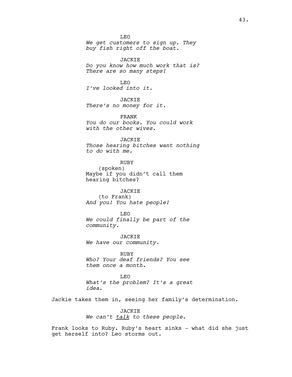LEO *We get customers to sign up. They buy fish right off the boat.* 

JACKIE *Do you know how much work that is? There are so many steps!* 

LEO *I've looked into it.* 

JACKIE *There's no money for it.* 

FRANK *You do our books. You could work with the other wives.*

JACKIE *Those hearing bitches want nothing to do with me.* 

RUBY (spoken) Maybe if you didn't call them hearing bitches?

JACKIE (to Frank) *And you! You hate people!*

LEO *We could finally be part of the community.* 

JACKIE *We have our community.* 

RUBY *Who? Your deaf friends? You see them once a month.* 

LEO *What's the problem? It's a great idea.* 

Jackie takes them in, seeing her family's determination.

JACKIE *We can't talk to these people.*

Frank looks to Ruby. Ruby's heart sinks - what did she just get herself into? Leo storms out.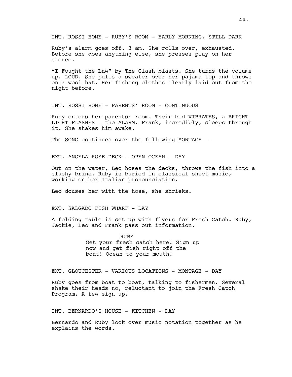INT. ROSSI HOME - RUBY'S ROOM - EARLY MORNING, STILL DARK

Ruby's alarm goes off. 3 am. She rolls over, exhausted. Before she does anything else, she presses play on her stereo.

"I Fought the Law" by The Clash blasts. She turns the volume up. LOUD. She pulls a sweater over her pajama top and throws on a wool hat. Her fishing clothes clearly laid out from the night before.

INT. ROSSI HOME - PARENTS' ROOM - CONTINUOUS

Ruby enters her parents' room. Their bed VIBRATES, a BRIGHT LIGHT FLASHES - the ALARM. Frank, incredibly, sleeps through it. She shakes him awake.

The SONG continues over the following MONTAGE --

EXT. ANGELA ROSE DECK - OPEN OCEAN - DAY

Out on the water, Leo hoses the decks, throws the fish into a slushy brine. Ruby is buried in classical sheet music, working on her Italian pronounciation.

Leo douses her with the hose, she shrieks.

EXT. SALGADO FISH WHARF - DAY

A folding table is set up with flyers for Fresh Catch. Ruby, Jackie, Leo and Frank pass out information.

> RUBY Get your fresh catch here! Sign up now and get fish right off the boat! Ocean to your mouth!

EXT. GLOUCESTER - VARIOUS LOCATIONS - MONTAGE - DAY

Ruby goes from boat to boat, talking to fishermen. Several shake their heads no, reluctant to join the Fresh Catch Program. A few sign up.

INT. BERNARDO'S HOUSE - KITCHEN - DAY

Bernardo and Ruby look over music notation together as he explains the words.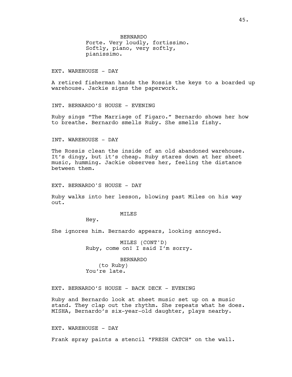BERNARDO Forte. Very loudly, fortissimo. Softly, piano, very softly, pianissimo.

EXT. WAREHOUSE - DAY

A retired fisherman hands the Rossis the keys to a boarded up warehouse. Jackie signs the paperwork.

INT. BERNARDO'S HOUSE - EVENING

Ruby sings "The Marriage of Figaro." Bernardo shows her how to breathe. Bernardo smells Ruby. She smells fishy.

INT. WAREHOUSE - DAY

The Rossis clean the inside of an old abandoned warehouse. It's dingy, but it's cheap. Ruby stares down at her sheet music, humming. Jackie observes her, feeling the distance between them.

EXT. BERNARDO'S HOUSE - DAY

Ruby walks into her lesson, blowing past Miles on his way out.

## **MTT.ES**

Hey.

She ignores him. Bernardo appears, looking annoyed.

MILES (CONT'D) Ruby, come on! I said I'm sorry.

BERNARDO (to Ruby) You're late.

EXT. BERNARDO'S HOUSE - BACK DECK - EVENING

Ruby and Bernardo look at sheet music set up on a music stand. They clap out the rhythm. She repeats what he does. MISHA, Bernardo's six-year-old daughter, plays nearby.

EXT. WAREHOUSE - DAY

Frank spray paints a stencil "FRESH CATCH" on the wall.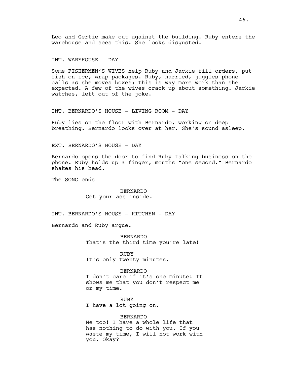Leo and Gertie make out against the building. Ruby enters the warehouse and sees this. She looks disgusted.

INT. WAREHOUSE - DAY

Some FISHERMEN'S WIVES help Ruby and Jackie fill orders, put fish on ice, wrap packages. Ruby, harried, juggles phone calls as she moves boxes; this is way more work than she expected. A few of the wives crack up about something. Jackie watches, left out of the joke.

INT. BERNARDO'S HOUSE - LIVING ROOM - DAY

Ruby lies on the floor with Bernardo, working on deep breathing. Bernardo looks over at her. She's sound asleep.

EXT. BERNARDO'S HOUSE - DAY

Bernardo opens the door to find Ruby talking business on the phone. Ruby holds up a finger, mouths "one second." Bernardo shakes his head.

The SONG ends --

BERNARDO Get your ass inside.

INT. BERNARDO'S HOUSE - KITCHEN - DAY

Bernardo and Ruby argue.

BERNARDO That's the third time you're late!

RUBY It's only twenty minutes.

BERNARDO I don't care if it's one minute! It shows me that you don't respect me or my time.

RUBY I have a lot going on.

#### BERNARDO

Me too! I have a whole life that has nothing to do with you. If you waste my time, I will not work with you. Okay?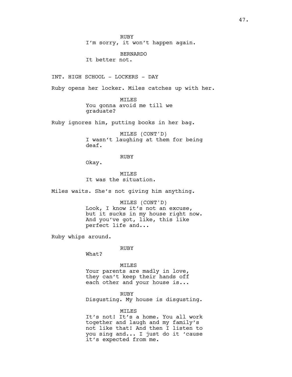RUBY I'm sorry, it won't happen again.

BERNARDO It better not.

INT. HIGH SCHOOL - LOCKERS - DAY

Ruby opens her locker. Miles catches up with her.

MILES You gonna avoid me till we graduate?

Ruby ignores him, putting books in her bag.

MILES (CONT'D) I wasn't laughing at them for being deaf.

RUBY

Okay.

**MTT.ES** It was the situation.

Miles waits. She's not giving him anything.

MILES (CONT'D) Look, I know it's not an excuse, but it sucks in my house right now. And you've got, like, this like perfect life and...

Ruby whips around.

RUBY

What?

MILES

Your parents are madly in love, they can't keep their hands off each other and your house is...

RUBY Disgusting. My house is disgusting.

**MTT.ES** It's not! It's a home. You all work together and laugh and my family's not like that! And then I listen to you sing and... I just do it 'cause it's expected from me.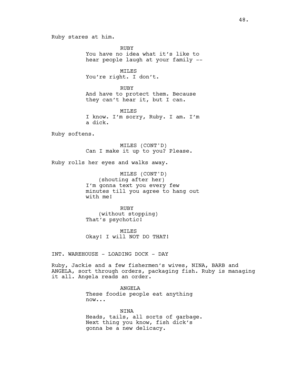Ruby stares at him.

RUBY You have no idea what it's like to hear people laugh at your family --

MILES You're right. I don't.

RUBY And have to protect them. Because they can't hear it, but I can.

**MTT.ES** I know. I'm sorry, Ruby. I am. I'm a dick.

Ruby softens.

MILES (CONT'D) Can I make it up to you? Please.

Ruby rolls her eyes and walks away.

MILES (CONT'D) (shouting after her) I'm gonna text you every few minutes till you agree to hang out with me!

RUBY (without stopping) That's psychotic!

MILES Okay! I will NOT DO THAT!

INT. WAREHOUSE - LOADING DOCK - DAY

Ruby, Jackie and a few fishermen's wives, NINA, BARB and ANGELA, sort through orders, packaging fish. Ruby is managing it all. Angela reads an order.

ANGELA

These foodie people eat anything now...

NINA Heads, tails, all sorts of garbage. Next thing you know, fish dick's gonna be a new delicacy.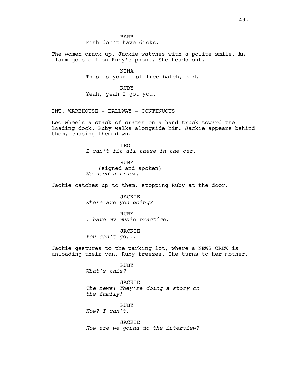BARB Fish don't have dicks.

The women crack up. Jackie watches with a polite smile. An alarm goes off on Ruby's phone. She heads out.

> NINA This is your last free batch, kid.

RUBY Yeah, yeah I got you.

INT. WAREHOUSE - HALLWAY - CONTINUOUS

Leo wheels a stack of crates on a hand-truck toward the loading dock. Ruby walks alongside him. Jackie appears behind them, chasing them down.

> LEO *I can't fit all these in the car.*

RUBY (signed and spoken) *We need a truck.* 

Jackie catches up to them, stopping Ruby at the door.

JACKIE *Where are you going?* 

RUBY *I have my music practice.*

JACKIE *You can't go...*

Jackie gestures to the parking lot, where a NEWS CREW is unloading their van. Ruby freezes. She turns to her mother.

RUBY

*What's this?* 

JACKIE *The news! They're doing a story on the family!* 

RUBY *Now? I can't.*

JACKIE *How are we gonna do the interview?*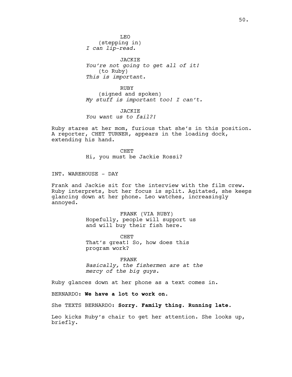LEO (stepping in) *I can lip-read.* 

JACKIE *You're not going to get all of it!*  (to Ruby) *This is important.* 

RUBY (signed and spoken) *My stuff is important too! I can't.* 

**JACKIE** *You want us to fail?!*

Ruby stares at her mom, furious that she's in this position. A reporter, CHET TURNER, appears in the loading dock, extending his hand.

> **CHET** Hi, you must be Jackie Rossi?

INT. WAREHOUSE - DAY

Frank and Jackie sit for the interview with the film crew. Ruby interprets, but her focus is split. Agitated, she keeps glancing down at her phone. Leo watches, increasingly annoyed.

> FRANK (VIA RUBY) Hopefully, people will support us and will buy their fish here.

CHET That's great! So, how does this program work?

FRANK *Basically, the fishermen are at the mercy of the big guys.* 

Ruby glances down at her phone as a text comes in.

BERNARDO: **We have a lot to work on.**

She TEXTS BERNARDO: **Sorry. Family thing. Running late.**

Leo kicks Ruby's chair to get her attention. She looks up, briefly.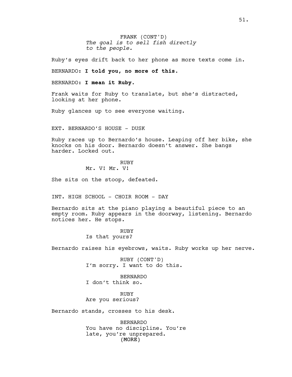FRANK (CONT'D) *The goal is to sell fish directly to the people.* 

Ruby's eyes drift back to her phone as more texts come in.

BERNARDO: **I told you, no more of this.** 

BERNARDO: **I mean it Ruby.**

Frank waits for Ruby to translate, but she's distracted, looking at her phone.

Ruby glances up to see everyone waiting.

EXT. BERNARDO'S HOUSE - DUSK

Ruby races up to Bernardo's house. Leaping off her bike, she knocks on his door. Bernardo doesn't answer. She bangs harder. Locked out.

RUBY

# Mr. V! Mr. V!

She sits on the stoop, defeated.

INT. HIGH SCHOOL - CHOIR ROOM - DAY

Bernardo sits at the piano playing a beautiful piece to an empty room. Ruby appears in the doorway, listening. Bernardo notices her. He stops.

> RUBY Is that yours?

Bernardo raises his eyebrows, waits. Ruby works up her nerve.

RUBY (CONT'D) I'm sorry. I want to do this.

BERNARDO I don't think so.

RUBY Are you serious?

Bernardo stands, crosses to his desk.

(MORE) BERNARDO You have no discipline. You're late, you're unprepared.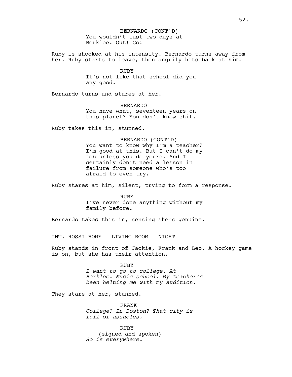BERNARDO (CONT'D) You wouldn't last two days at Berklee. Out! Go!

Ruby is shocked at his intensity. Bernardo turns away from her. Ruby starts to leave, then angrily hits back at him.

> RUBY It's not like that school did you any good.

Bernardo turns and stares at her.

BERNARDO You have what, seventeen years on this planet? You don't know shit.

Ruby takes this in, stunned.

BERNARDO (CONT'D) You want to know why I'm a teacher? I'm good at this. But I can't do my job unless you do yours. And I certainly don't need a lesson in failure from someone who's too afraid to even try.

Ruby stares at him, silent, trying to form a response.

RUBY I've never done anything without my family before.

Bernardo takes this in, sensing she's genuine.

INT. ROSSI HOME - LIVING ROOM - NIGHT

Ruby stands in front of Jackie, Frank and Leo. A hockey game is on, but she has their attention.

> RUBY *I want to go to college. At Berklee. Music school. My teacher's been helping me with my audition.*

They stare at her, stunned.

FRANK *College? In Boston? That city is full of assholes.*

RUBY (signed and spoken) *So is everywhere.*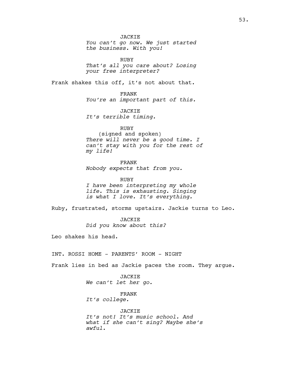**JACKIE** *You can't go now. We just started the business. With you!* 

RUBY *That's all you care about? Losing your free interpreter?* 

Frank shakes this off, it's not about that.

FRANK *You're an important part of this.* 

JACKIE *It's terrible timing.* 

RUBY

(signed and spoken) *There will never be a good time. I can't stay with you for the rest of my life!* 

FRANK *Nobody expects that from you.*

RUBY *I have been interpreting my whole life. This is exhausting. Singing is what I love. It's everything.* 

Ruby, frustrated, storms upstairs. Jackie turns to Leo.

JACKIE *Did you know about this?* 

Leo shakes his head.

INT. ROSSI HOME - PARENTS' ROOM - NIGHT

Frank lies in bed as Jackie paces the room. They argue.

JACKIE *We can't let her go.*

FRANK

*It's college.*

**JACKIE** *It's not! It's music school. And what if she can't sing? Maybe she's awful.*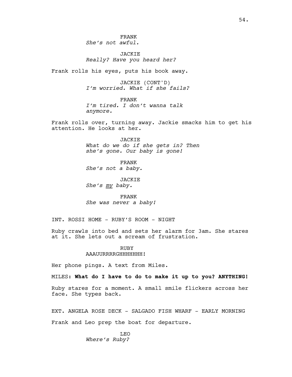JACKIE *Really? Have you heard her?*

Frank rolls his eyes, puts his book away.

JACKIE (CONT'D) *I'm worried. What if she fails?*

FRANK *I'm tired. I don't wanna talk anymore.*

Frank rolls over, turning away. Jackie smacks him to get his attention. He looks at her.

> JACKIE *What do we do if she gets in? Then she's gone. Our baby is gone!*

FRANK *She's not a baby.* 

JACKIE *She's my baby.*

FRANK *She was never a baby!* 

INT. ROSSI HOME - RUBY'S ROOM - NIGHT

Ruby crawls into bed and sets her alarm for 3am. She stares at it. She lets out a scream of frustration.

# RUBY AAAUURRRRGHHHHHHH!

Her phone pings. A text from Miles.

MILES: **What do I have to do to make it up to you? ANYTHING!**

Ruby stares for a moment. A small smile flickers across her face. She types back.

EXT. ANGELA ROSE DECK - SALGADO FISH WHARF - EARLY MORNING Frank and Leo prep the boat for departure.

> LEO *Where's Ruby?*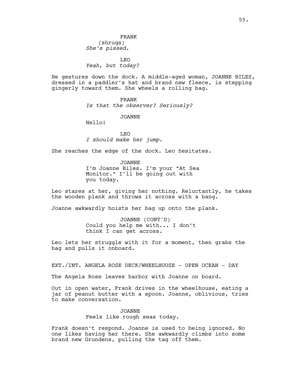FRANK (shrugs) *She's pissed.* 

LEO *Yeah, but today?* 

He gestures down the dock. A middle-aged woman, JOANNE BILES, dressed in a paddler's hat and brand new fleece, is stepping gingerly toward them. She wheels a rolling bag.

## FRANK

*Is that the observer? Seriously?* 

JOANNE

Hello!

LEO *I should make her jump.* 

She reaches the edge of the dock. Leo hesitates.

JOANNE I'm Joanne Biles. I'm your "At Sea Monitor." I'll be going out with you today.

Leo stares at her, giving her nothing. Reluctantly, he takes the wooden plank and throws it across with a bang.

Joanne awkwardly hoists her bag up onto the plank.

JOANNE (CONT'D) Could you help me with... I don't think I can get across.

Leo lets her struggle with it for a moment, then grabs the bag and pulls it onboard.

EXT./INT. ANGELA ROSE DECK/WHEELHOUSE - OPEN OCEAN - DAY

The Angela Rose leaves harbor with Joanne on board.

Out in open water, Frank drives in the wheelhouse, eating a jar of peanut butter with a spoon. Joanne, oblivious, tries to make conversation.

> JOANNE Feels like rough seas today.

Frank doesn't respond. Joanne is used to being ignored. No one likes having her there. She awkwardly climbs into some brand new Grundens, pulling the tag off them.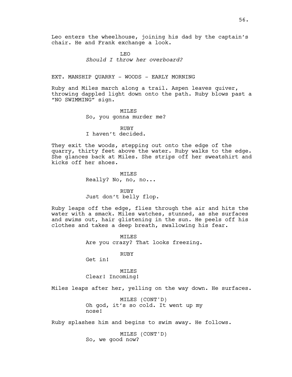Leo enters the wheelhouse, joining his dad by the captain's chair. He and Frank exchange a look.

> LEO *Should I throw her overboard?*

#### EXT. MANSHIP QUARRY - WOODS - EARLY MORNING

Ruby and Miles march along a trail. Aspen leaves quiver, throwing dappled light down onto the path. Ruby blows past a "NO SWIMMING" sign.

> **MTT.ES** So, you gonna murder me?

RUBY I haven't decided.

They exit the woods, stepping out onto the edge of the quarry, thirty feet above the water. Ruby walks to the edge. She glances back at Miles. She strips off her sweatshirt and kicks off her shoes.

> **MTT.ES** Really? No, no, no...

RUBY Just don't belly flop.

Ruby leaps off the edge, flies through the air and hits the water with a smack. Miles watches, stunned, as she surfaces and swims out, hair glistening in the sun. He peels off his clothes and takes a deep breath, swallowing his fear.

> **MTT.ES** Are you crazy? That looks freezing.

> > RUBY

Get in!

MILES Clear! Incoming!

Miles leaps after her, yelling on the way down. He surfaces.

MILES (CONT'D) Oh god, it's so cold. It went up my nose!

Ruby splashes him and begins to swim away. He follows.

MILES (CONT'D) So, we good now?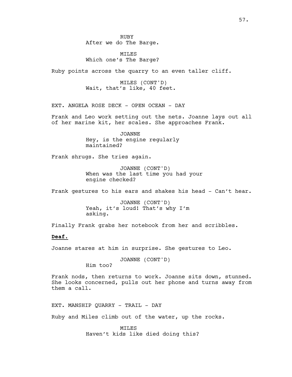RUBY After we do The Barge.

MILES Which one's The Barge?

Ruby points across the quarry to an even taller cliff.

MILES (CONT'D) Wait, that's like, 40 feet.

EXT. ANGELA ROSE DECK - OPEN OCEAN - DAY

Frank and Leo work setting out the nets. Joanne lays out all of her marine kit, her scales. She approaches Frank.

> JOANNE Hey, is the engine regularly maintained?

Frank shrugs. She tries again.

JOANNE (CONT'D) When was the last time you had your engine checked?

Frank gestures to his ears and shakes his head - Can't hear.

JOANNE (CONT'D) Yeah, it's loud! That's why I'm asking.

Finally Frank grabs her notebook from her and scribbles.

# **Deaf.**

Joanne stares at him in surprise. She gestures to Leo.

JOANNE (CONT'D)

Him too?

Frank nods, then returns to work. Joanne sits down, stunned. She looks concerned, pulls out her phone and turns away from them a call.

EXT. MANSHIP QUARRY - TRAIL - DAY

Ruby and Miles climb out of the water, up the rocks.

MILES Haven't kids like died doing this?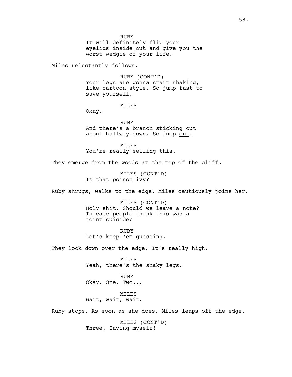RUBY

It will definitely flip your eyelids inside out and give you the worst wedgie of your life.

Miles reluctantly follows.

RUBY (CONT'D) Your legs are gonna start shaking, like cartoon style. So jump fast to save yourself.

## MILES

Okay.

RUBY And there's a branch sticking out about halfway down. So jump out.

MILES You're really selling this.

They emerge from the woods at the top of the cliff.

MILES (CONT'D) Is that poison ivy?

Ruby shrugs, walks to the edge. Miles cautiously joins her.

MILES (CONT'D) Holy shit. Should we leave a note? In case people think this was a joint suicide?

RUBY Let's keep 'em guessing.

They look down over the edge. It's really high.

MILES Yeah, there's the shaky legs.

RUBY Okay. One. Two...

MILES Wait, wait, wait.

Ruby stops. As soon as she does, Miles leaps off the edge.

MILES (CONT'D) Three! Saving myself!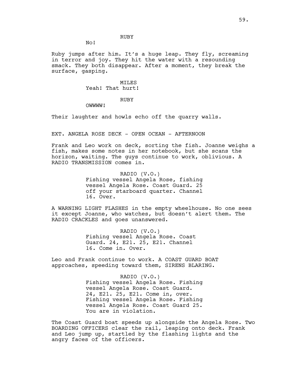## RUBY

No!

Ruby jumps after him. It's a huge leap. They fly, screaming in terror and joy. They hit the water with a resounding smack. They both disappear. After a moment, they break the surface, gasping.

## MILES Yeah! That hurt!

#### RUBY

OWWWW!

Their laughter and howls echo off the quarry walls.

EXT. ANGELA ROSE DECK - OPEN OCEAN - AFTERNOON

Frank and Leo work on deck, sorting the fish. Joanne weighs a fish, makes some notes in her notebook, but she scans the horizon, waiting. The guys continue to work, oblivious. A RADIO TRANSMISSION comes in.

> RADIO (V.O.) Fishing vessel Angela Rose, fishing vessel Angela Rose. Coast Guard. 25 off your starboard quarter. Channel 16. Over.

A WARNING LIGHT FLASHES in the empty wheelhouse. No one sees it except Joanne, who watches, but doesn't alert them. The RADIO CRACKLES and goes unanswered.

> RADIO (V.O.) Fishing vessel Angela Rose. Coast Guard. 24, E21. 25, E21. Channel 16. Come in. Over.

Leo and Frank continue to work. A COAST GUARD BOAT approaches, speeding toward them, SIRENS BLARING.

> RADIO (V.O.) Fishing vessel Angela Rose. Fishing vessel Angela Rose. Coast Guard. 24, E21. 25, E21. Come in, over. Fishing vessel Angela Rose. Fishing vessel Angela Rose. Coast Guard 25. You are in violation.

The Coast Guard boat speeds up alongside the Angela Rose. Two BOARDING OFFICERS clear the rail, leaping onto deck. Frank and Leo jump up, startled by the flashing lights and the angry faces of the officers.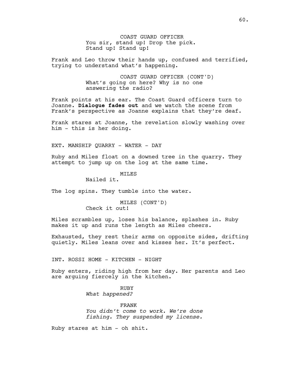COAST GUARD OFFICER You sir, stand up! Drop the pick. Stand up! Stand up!

Frank and Leo throw their hands up, confused and terrified, trying to understand what's happening.

> COAST GUARD OFFICER (CONT'D) What's going on here? Why is no one answering the radio?

Frank points at his ear. The Coast Guard officers turn to Joanne. **Dialogue fades out** and we watch the scene from Frank's perspective as Joanne explains that they're deaf.

Frank stares at Joanne, the revelation slowly washing over him - this is her doing.

EXT. MANSHIP QUARRY - WATER - DAY

Ruby and Miles float on a downed tree in the quarry. They attempt to jump up on the log at the same time.

## **MTT.ES**

Nailed it.

The log spins. They tumble into the water.

MILES (CONT'D) Check it out!

Miles scrambles up, loses his balance, splashes in. Ruby makes it up and runs the length as Miles cheers.

Exhausted, they rest their arms on opposite sides, drifting quietly. Miles leans over and kisses her. It's perfect.

INT. ROSSI HOME - KITCHEN - NIGHT

Ruby enters, riding high from her day. Her parents and Leo are arguing fiercely in the kitchen.

# RUBY

*What happened?*

# FRANK *You didn't come to work. We're done fishing. They suspended my license.*

Ruby stares at him - oh shit.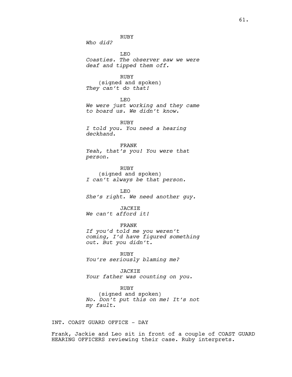RUBY

*Who did?* 

LEO *Coasties. The observer saw we were deaf and tipped them off.* 

RUBY (signed and spoken) *They can't do that!*

LEO *We were just working and they came to board us. We didn't know.* 

RUBY *I told you. You need a hearing deckhand.* 

FRANK

*Yeah, that's you! You were that person.*

RUBY (signed and spoken) *I can't always be that person.* 

LEO *She's right. We need another guy.*

JACKIE

*We can't afford it!*

FRANK

*If you'd told me you weren't coming, I'd have figured something out. But you didn't.* 

RUBY *You're seriously blaming me?* 

JACKIE *Your father was counting on you.* 

RUBY (signed and spoken) *No. Don't put this on me! It's not my fault.*

INT. COAST GUARD OFFICE - DAY

Frank, Jackie and Leo sit in front of a couple of COAST GUARD HEARING OFFICERS reviewing their case. Ruby interprets.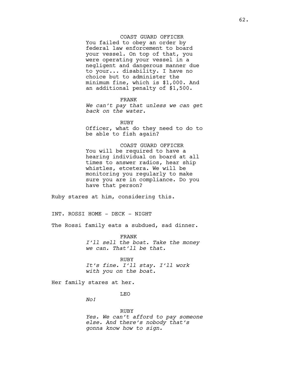#### COAST GUARD OFFICER

You failed to obey an order by federal law enforcement to board your vessel. On top of that, you were operating your vessel in a negligent and dangerous manner due to your... disability. I have no choice but to administer the minimum fine, which is \$1,000. And an additional penalty of \$1,500.

FRANK

*We can't pay that unless we can get back on the water.*

RUBY Officer, what do they need to do to be able to fish again?

COAST GUARD OFFICER You will be required to have a hearing individual on board at all times to answer radios, hear ship whistles, etcetera. We will be monitoring you regularly to make sure you are in compliance. Do you have that person?

Ruby stares at him, considering this.

INT. ROSSI HOME - DECK - NIGHT

The Rossi family eats a subdued, sad dinner.

FRANK *I'll sell the boat. Take the money we can. That'll be that.* 

RUBY *It's fine. I'll stay. I'll work with you on the boat.*

Her family stares at her.

### LEO

*No!* 

RUBY *Yes. We can't afford to pay someone else. And there's nobody that's gonna know how to sign.*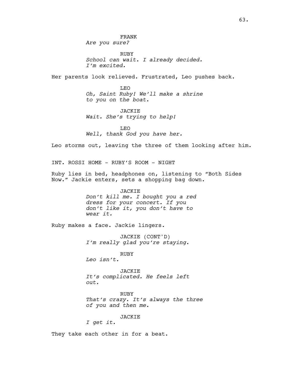FRANK *Are you sure?* 

RUBY *School can wait. I already decided. I'm excited.* 

Her parents look relieved. Frustrated, Leo pushes back.

LEO *Oh, Saint Ruby! We'll make a shrine to you on the boat.* 

**JACKIE** *Wait. She's trying to help!* 

LEO *Well, thank God you have her.*

Leo storms out, leaving the three of them looking after him.

INT. ROSSI HOME - RUBY'S ROOM - NIGHT

Ruby lies in bed, headphones on, listening to "Both Sides Now." Jackie enters, sets a shopping bag down.

> JACKIE *Don't kill me. I bought you a red dress for your concert. If you don't like it, you don't have to wear it.*

Ruby makes a face. Jackie lingers.

JACKIE (CONT'D) *I'm really glad you're staying.*

RUBY *Leo isn't.* 

JACKIE *It's complicated. He feels left out.* 

RUBY *That's crazy. It's always the three of you and then me.* 

JACKIE

*I get it.*

They take each other in for a beat.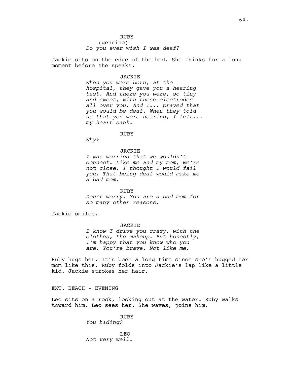RUBY (genuine) *Do you ever wish I was deaf?*

Jackie sits on the edge of the bed. She thinks for a long moment before she speaks.

#### JACKIE

*When you were born, at the hospital, they gave you a hearing test. And there you were, so tiny and sweet, with these electrodes all over you. And I... prayed that you would be deaf. When they told us that you were hearing, I felt... my heart sank.* 

RUBY

*Why?*

**JACKTE** *I was worried that we wouldn't connect. Like me and my mom, we're not close. I thought I would fail you. That being deaf would make me a bad mom.* 

RUBY *Don't worry. You are a bad mom for so many other reasons.*

Jackie smiles.

#### JACKIE

*I know I drive you crazy, with the clothes, the makeup. But honestly, I'm happy that you know who you are. You're brave. Not like me.* 

Ruby hugs her. It's been a long time since she's hugged her mom like this. Ruby folds into Jackie's lap like a little kid. Jackie strokes her hair.

EXT. BEACH - EVENING

Leo sits on a rock, looking out at the water. Ruby walks toward him. Leo sees her. She waves, joins him.

> RUBY *You hiding?*

LEO *Not very well.*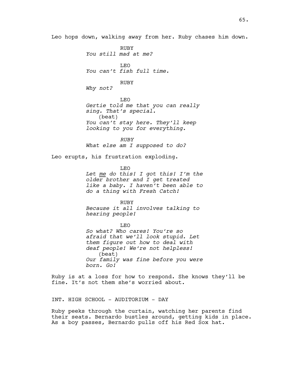Leo hops down, walking away from her. Ruby chases him down.

RUBY *You still mad at me?* LEO *You can't fish full time.*  RUBY

*Why not?* 

LEO *Gertie told me that you can really sing. That's special.*  (beat)

*You can't stay here. They'll keep looking to you for everything.* 

*RUBY What else am I supposed to do?* 

Leo erupts, his frustration exploding.

LEO

*Let me do this! I got this! I'm the older brother and I get treated like a baby. I haven't been able to do a thing with Fresh Catch!* 

RUBY *Because it all involves talking to hearing people!*

LEO *So what? Who cares! You're so afraid that we'll look stupid. Let them figure out how to deal with deaf people! We're not helpless!* (beat) *Our family was fine before you were born. Go!*

Ruby is at a loss for how to respond. She knows they'll be fine. It's not them she's worried about.

INT. HIGH SCHOOL - AUDITORIUM - DAY

Ruby peeks through the curtain, watching her parents find their seats. Bernardo bustles around, getting kids in place. As a boy passes, Bernardo pulls off his Red Sox hat.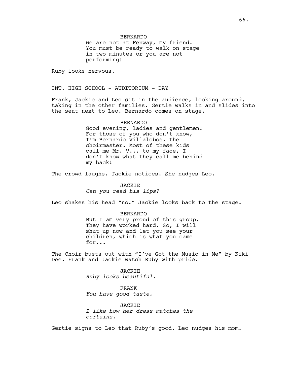We are not at Fenway, my friend. You must be ready to walk on stage in two minutes or you are not performing!

Ruby looks nervous.

INT. HIGH SCHOOL - AUDITORIUM - DAY

Frank, Jackie and Leo sit in the audience, looking around, taking in the other families. Gertie walks in and slides into the seat next to Leo. Bernardo comes on stage.

> BERNARDO Good evening, ladies and gentlemen! For those of you who don't know, I'm Bernardo Villalobos, the choirmaster. Most of these kids call me Mr. V... to my face, I don't know what they call me behind my back!

The crowd laughs. Jackie notices. She nudges Leo.

JACKIE *Can you read his lips?*

Leo shakes his head "no." Jackie looks back to the stage.

#### BERNARDO

But I am very proud of this group. They have worked hard. So, I will shut up now and let you see your children, which is what you came for...

The Choir busts out with "I've Got the Music in Me" by Kiki Dee. Frank and Jackie watch Ruby with pride.

> JACKIE *Ruby looks beautiful.*

FRANK *You have good taste.* 

JACKIE *I like how her dress matches the curtains.* 

Gertie signs to Leo that Ruby's good. Leo nudges his mom.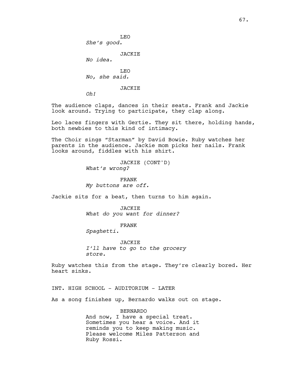LEO *She's good.*  JACKIE *No idea.*  LEO *No, she said.*  JACKIE *Oh!* 

The audience claps, dances in their seats. Frank and Jackie look around. Trying to participate, they clap along.

Leo laces fingers with Gertie. They sit there, holding hands, both newbies to this kind of intimacy.

The Choir sings "Starman" by David Bowie. Ruby watches her parents in the audience. Jackie mom picks her nails. Frank looks around, fiddles with his shirt.

> JACKIE (CONT'D) *What's wrong?*

FRANK *My buttons are off.*

Jackie sits for a beat, then turns to him again.

JACKIE *What do you want for dinner?*

FRANK

*Spaghetti.*

JACKIE *I'll have to go to the grocery store.*

Ruby watches this from the stage. They're clearly bored. Her heart sinks.

INT. HIGH SCHOOL - AUDITORIUM - LATER

As a song finishes up, Bernardo walks out on stage.

BERNARDO And now, I have a special treat. Sometimes you hear a voice. And it reminds you to keep making music. Please welcome Miles Patterson and Ruby Rossi.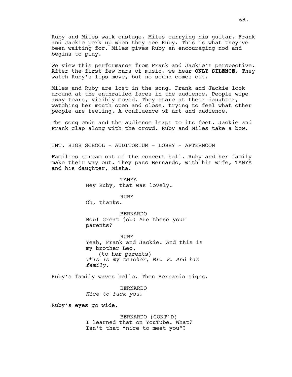Ruby and Miles walk onstage, Miles carrying his guitar. Frank and Jackie perk up when they see Ruby. This is what they've been waiting for. Miles gives Ruby an encouraging nod and begins to play.

We view this performance from Frank and Jackie's perspective. After the first few bars of music, we hear **ONLY SILENCE**. They watch Ruby's lips move, but no sound comes out.

Miles and Ruby are lost in the song. Frank and Jackie look around at the enthralled faces in the audience. People wipe away tears, visibly moved. They stare at their daughter, watching her mouth open and close, trying to feel what other people are feeling. A confluence of art and audience.

The song ends and the audience leaps to its feet. Jackie and Frank clap along with the crowd. Ruby and Miles take a bow.

INT. HIGH SCHOOL - AUDITORIUM - LOBBY - AFTERNOON

Families stream out of the concert hall. Ruby and her family make their way out. They pass Bernardo, with his wife, TANYA and his daughter, Misha.

> TANYA Hey Ruby, that was lovely.

RUBY Oh, thanks.

BERNARDO Bob! Great job! Are these your parents?

RUBY Yeah, Frank and Jackie. And this is my brother Leo. (to her parents) *This is my teacher, Mr. V. And his family.* 

Ruby's family waves hello. Then Bernardo signs.

BERNARDO *Nice to fuck you.*

Ruby's eyes go wide.

BERNARDO (CONT'D) I learned that on YouTube. What? Isn't that "nice to meet you"?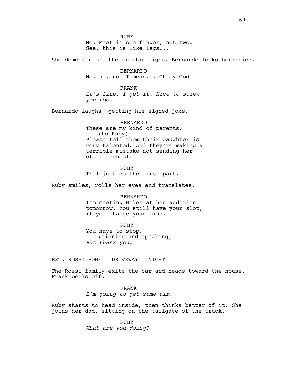RUBY No. Meet is one finger, not two. See, this is like legs...

She demonstrates the similar signs. Bernardo looks horrified.

BERNARDO No, no, no! I mean... Oh my God!

FRANK *It's fine, I get it. Nice to screw you too.* 

Bernardo laughs, getting his signed joke.

BERNARDO These are my kind of parents. (to Ruby) Please tell them their daughter is very talented. And they're making a terrible mistake not sending her off to school.

RUBY I'll just do the first part.

Ruby smiles, rolls her eyes and translates.

#### BERNARDO

I'm meeting Miles at his audition tomorrow. You still have your slot, if you change your mind.

RUBY You have to stop.

(signing and speaking) *But thank you.*

EXT. ROSSI HOME - DRIVEWAY - NIGHT

The Rossi family exits the car and heads toward the house. Frank peels off.

# FRANK

*I'm going to get some air.* 

Ruby starts to head inside, then thinks better of it. She joins her dad, sitting on the tailgate of the truck.

> RUBY *What are you doing?*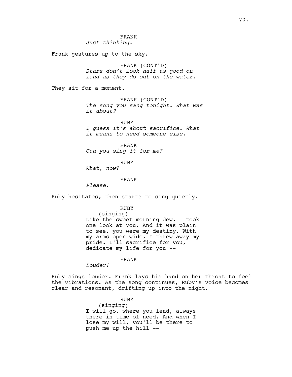FRANK *Just thinking.*

Frank gestures up to the sky.

FRANK (CONT'D) *Stars don't look half as good on land as they do out on the water*.

They sit for a moment.

FRANK (CONT'D) *The song you sang tonight. What was it about?* 

RUBY *I guess it's about sacrifice. What it means to need someone else.*

FRANK *Can you sing it for me?*

RUBY

*What, now?*

FRANK

*Please.* 

Ruby hesitates, then starts to sing quietly.

RUBY

(singing) Like the sweet morning dew, I took one look at you. And it was plain to see, you were my destiny. With my arms open wide, I threw away my pride. I'll sacrifice for you, dedicate my life for you --

FRANK

*Louder!*

Ruby sings louder. Frank lays his hand on her throat to feel the vibrations. As the song continues, Ruby's voice becomes clear and resonant, drifting up into the night.

> RUBY (singing) I will go, where you lead, always there in time of need. And when I lose my will, you'll be there to push me up the hill --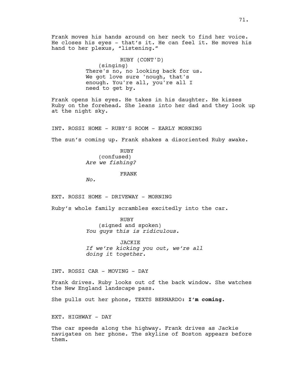Frank moves his hands around on her neck to find her voice. He closes his eyes - that's it. He can feel it. He moves his hand to her plexus, "listening."

> RUBY (CONT'D) (singing) There's no, no looking back for us. We got love sure 'nough, that's enough. You're all, you're all I need to get by.

Frank opens his eyes. He takes in his daughter. He kisses Ruby on the forehead. She leans into her dad and they look up at the night sky.

INT. ROSSI HOME - RUBY'S ROOM - EARLY MORNING

The sun's coming up. Frank shakes a disoriented Ruby awake.

RUBY (confused) *Are we fishing?*

FRANK

*No.* 

EXT. ROSSI HOME - DRIVEWAY - MORNING

Ruby's whole family scrambles excitedly into the car.

RUBY (signed and spoken) *You guys this is ridiculous.* 

JACKIE *If we're kicking you out, we're all doing it together.* 

INT. ROSSI CAR - MOVING - DAY

Frank drives. Ruby looks out of the back window. She watches the New England landscape pass.

She pulls out her phone, TEXTS BERNARDO: **I'm coming.**

EXT. HIGHWAY - DAY

The car speeds along the highway. Frank drives as Jackie navigates on her phone. The skyline of Boston appears before them.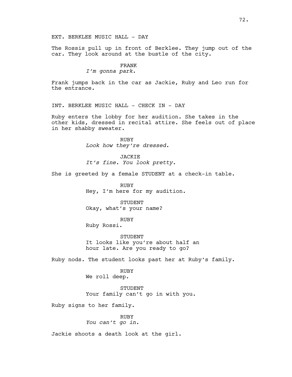EXT. BERKLEE MUSIC HALL - DAY

The Rossis pull up in front of Berklee. They jump out of the car. They look around at the bustle of the city.

### FRANK

*I'm gonna park.* 

Frank jumps back in the car as Jackie, Ruby and Leo run for the entrance.

INT. BERKLEE MUSIC HALL - CHECK IN - DAY

Ruby enters the lobby for her audition. She takes in the other kids, dressed in recital attire. She feels out of place in her shabby sweater.

> RUBY *Look how they're dressed.*

JACKIE *It's fine. You look pretty.* 

She is greeted by a female STUDENT at a check-in table.

RUBY Hey, I'm here for my audition.

STUDENT Okay, what's your name?

RUBY

Ruby Rossi.

STUDENT It looks like you're about half an hour late. Are you ready to go?

Ruby nods. The student looks past her at Ruby's family.

RUBY We roll deep.

STUDENT Your family can't go in with you.

Ruby signs to her family.

RUBY *You can't go in.*

Jackie shoots a death look at the girl.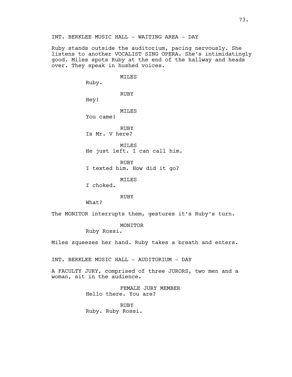INT. BERKLEE MUSIC HALL - WAITING AREA - DAY

Ruby stands outside the auditorium, pacing nervously. She listens to another VOCALIST SING OPERA. She's intimidatingly good. Miles spots Ruby at the end of the hallway and heads over. They speak in hushed voices.

MILES

Ruby.

RUBY

Hey!

**MTT.ES** 

You came!

RUBY Is Mr. V here?

MILES He just left. I can call him.

RUBY

I texted him. How did it go?

MILES

I choked.

RUBY

What?

The MONITOR interrupts them, gestures it's Ruby's turn.

MONITOR

Ruby Rossi.

Miles squeezes her hand. Ruby takes a breath and enters.

INT. BERKLEE MUSIC HALL - AUDITORIUM - DAY

A FACULTY JURY, comprised of three JURORS, two men and a woman, sit in the audience.

> FEMALE JURY MEMBER Hello there. You are?

RUBY Ruby. Ruby Rossi.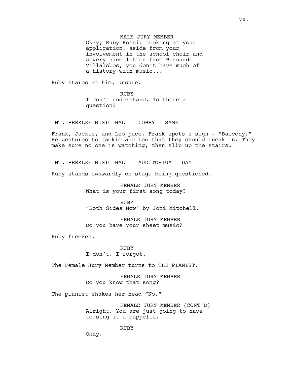### MALE JURY MEMBER

Okay, Ruby Rossi. Looking at your application, aside from your involvement in the school choir and a very nice letter from Bernardo Villalobos, you don't have much of a history with music...

Ruby stares at him, unsure.

RUBY I don't understand. Is there a question?

INT. BERKLEE MUSIC HALL - LOBBY - SAME

Frank, Jackie, and Leo pace. Frank spots a sign - "Balcony." He gestures to Jackie and Leo that they should sneak in. They make sure no one is watching, then slip up the stairs.

INT. BERKLEE MUSIC HALL - AUDITORIUM - DAY

Ruby stands awkwardly on stage being questioned.

FEMALE JURY MEMBER What is your first song today?

RUBY "Both Sides Now" by Joni Mitchell.

FEMALE JURY MEMBER Do you have your sheet music?

Ruby freezes.

RUBY I don't. I forgot.

The Female Jury Member turns to THE PIANIST.

FEMALE JURY MEMBER Do you know that song?

The pianist shakes her head "No."

FEMALE JURY MEMBER (CONT'D) Alright. You are just going to have to sing it a cappella.

RUBY

Okay.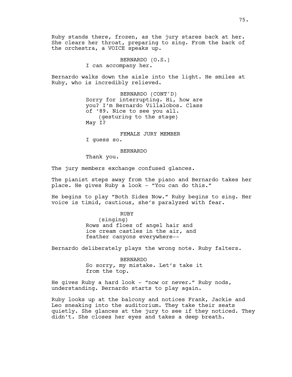Ruby stands there, frozen, as the jury stares back at her. She clears her throat, preparing to sing. From the back of the orchestra, a VOICE speaks up.

> BERNARDO (O.S.) I can accompany her.

Bernardo walks down the aisle into the light. He smiles at Ruby, who is incredibly relieved.

> BERNARDO (CONT'D) Sorry for interrupting. Hi, how are you? I'm Bernardo Villalobos. Class of '89. Nice to see you all. (gesturing to the stage) May I?

> > FEMALE JURY MEMBER

I guess so.

#### BERNARDO

Thank you.

The jury members exchange confused glances.

The pianist steps away from the piano and Bernardo takes her place. He gives Ruby a look - "You can do this."

He begins to play "Both Sides Now." Ruby begins to sing. Her voice is timid, cautious, she's paralyzed with fear.

> RUBY (singing) Rows and floes of angel hair and ice cream castles in the air, and feather canyons everywhere--

Bernardo deliberately plays the wrong note. Ruby falters.

BERNARDO So sorry, my mistake. Let's take it from the top.

He gives Ruby a hard look - "now or never." Ruby nods, understanding. Bernardo starts to play again.

Ruby looks up at the balcony and notices Frank, Jackie and Leo sneaking into the auditorium. They take their seats quietly. She glances at the jury to see if they noticed. They didn't. She closes her eyes and takes a deep breath.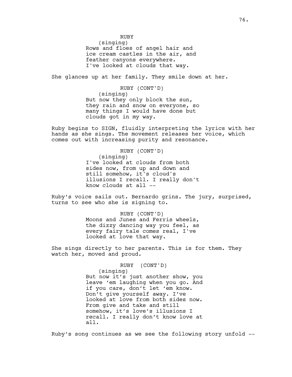RUBY (singing) Rows and floes of angel hair and ice cream castles in the air, and feather canyons everywhere. I've looked at clouds that way.

She glances up at her family. They smile down at her.

RUBY (CONT'D) (singing) But now they only block the sun, they rain and snow on everyone, so many things I would have done but clouds got in my way.

Ruby begins to SIGN, fluidly interpreting the lyrics with her hands as she sings. The movement releases her voice, which comes out with increasing purity and resonance.

> RUBY (CONT'D) (singing) I've looked at clouds from both sides now, from up and down and still somehow, it's cloud's illusions I recall. I really don't know clouds at all --

Ruby's voice sails out. Bernardo grins. The jury, surprised, turns to see who she is signing to.

> RUBY (CONT'D) Moons and Junes and Ferris wheels, the dizzy dancing way you feel, as every fairy tale comes real, I've looked at love that way.

She sings directly to her parents. This is for them. They watch her, moved and proud.

> RUBY (CONT'D) (singing) But now it's just another show, you leave 'em laughing when you go. And if you care, don't let 'em know. Don't give yourself away. I've looked at love from both sides now. From give and take and still somehow, it's love's illusions I recall. I really don't know love at all.

Ruby's song continues as we see the following story unfold --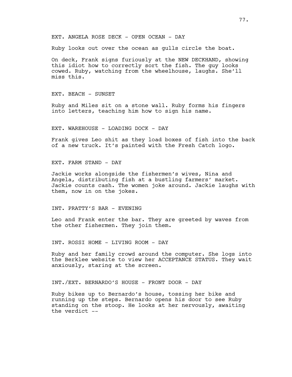EXT. ANGELA ROSE DECK - OPEN OCEAN - DAY

Ruby looks out over the ocean as gulls circle the boat.

On deck, Frank signs furiously at the NEW DECKHAND, showing this idiot how to correctly sort the fish. The guy looks cowed. Ruby, watching from the wheelhouse, laughs. She'll miss this.

EXT. BEACH - SUNSET

Ruby and Miles sit on a stone wall. Ruby forms his fingers into letters, teaching him how to sign his name.

EXT. WAREHOUSE - LOADING DOCK - DAY

Frank gives Leo shit as they load boxes of fish into the back of a new truck. It's painted with the Fresh Catch logo.

EXT. FARM STAND - DAY

Jackie works alongside the fishermen's wives, Nina and Angela, distributing fish at a bustling farmers' market. Jackie counts cash. The women joke around. Jackie laughs with them, now in on the jokes.

#### INT. PRATTY'S BAR - EVENING

Leo and Frank enter the bar. They are greeted by waves from the other fishermen. They join them.

INT. ROSSI HOME - LIVING ROOM - DAY

Ruby and her family crowd around the computer. She logs into the Berklee website to view her ACCEPTANCE STATUS. They wait anxiously, staring at the screen.

INT./EXT. BERNARDO'S HOUSE - FRONT DOOR - DAY

Ruby bikes up to Bernardo's house, tossing her bike and running up the steps. Bernardo opens his door to see Ruby standing on the stoop. He looks at her nervously, awaiting the verdict --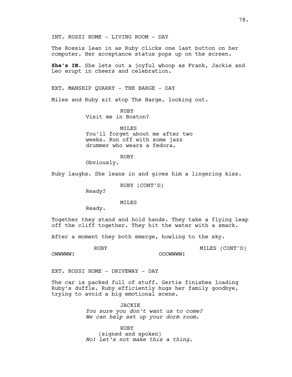The Rossis lean in as Ruby clicks one last button on her computer. Her acceptance status pops up on the screen.

**She's IN**. She lets out a joyful whoop as Frank, Jackie and Leo erupt in cheers and celebration.

EXT. MANSHIP QUARRY - THE BARGE - DAY

Miles and Ruby sit atop The Barge, looking out.

RUBY Visit me in Boston?

MILES You'll forget about me after two weeks. Run off with some jazz drummer who wears a fedora.

RUBY

Obviously.

Ruby laughs. She leans in and gives him a lingering kiss.

RUBY (CONT'D)

Ready?

MILES

Ready.

Together they stand and hold hands. They take a flying leap off the cliff together. They hit the water with a smack.

After a moment they both emerge, howling to the sky.

RUBY

MILES (CONT'D)

OWWWWW!

OOOWWWW!

EXT. ROSSI HOME - DRIVEWAY - DAY

The car is packed full of stuff. Gertie finishes loading Ruby's duffle. Ruby efficiently hugs her family goodbye, trying to avoid a big emotional scene.

> JACKIE *You sure you don't want us to come? We can help set up your dorm room.*

RUBY (signed and spoken) *No! Let's not make this a thing.*